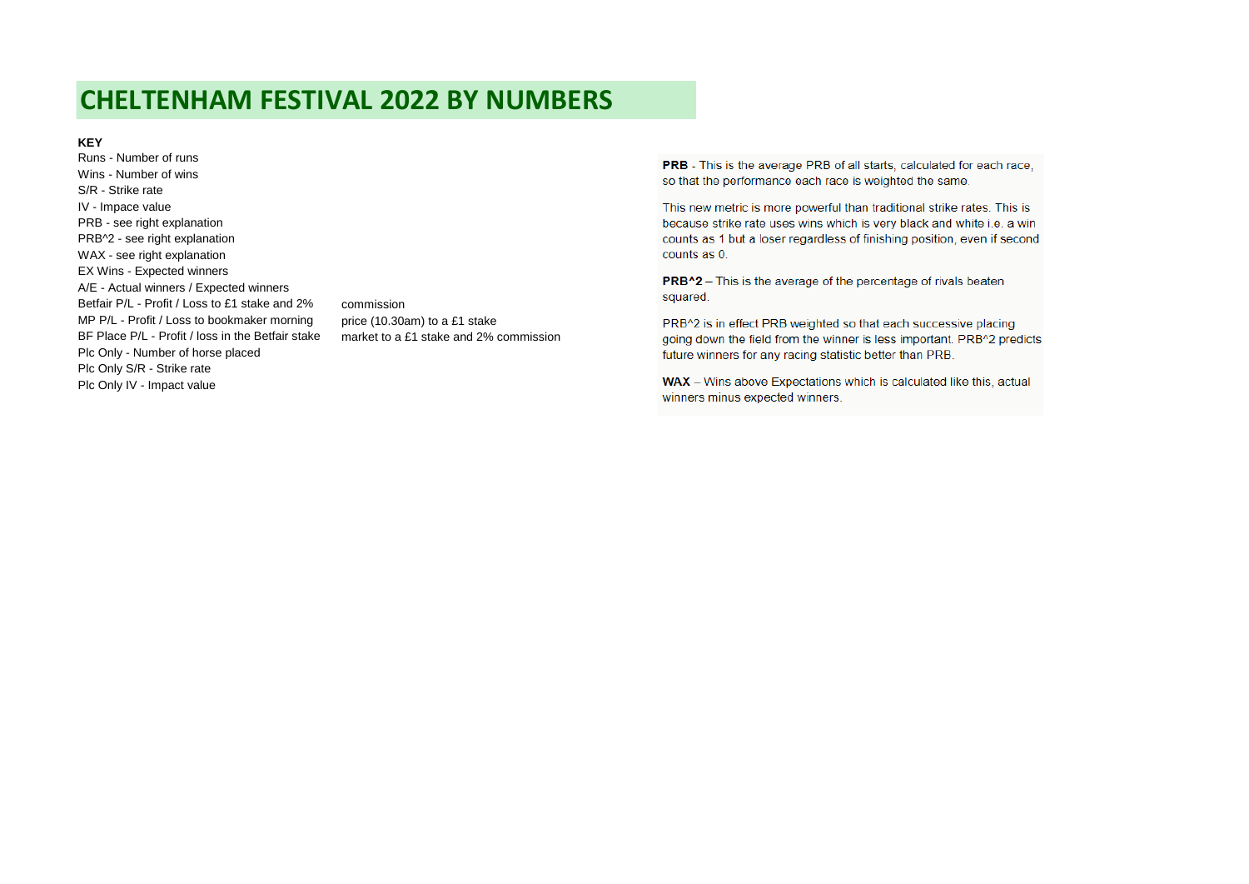# **CHELTENHAM FESTIVAL 2022 BY NUMBERS**

#### **KEY**

Runs - Number of runs Wins - Number of wins S/R - Strike rate IV - Impace value PRB - see right explanation PRB^2 - see right explanation WAX - see right explanation EX Wins - Expected winners A/E - Actual winners / Expected winners Betfair P/L - Profit / Loss to £1 stake and 2% commission MP P/L - Profit / Loss to bookmaker morning price (10.30am) to a £1 stake BF Place P/L - Profit / loss in the Betfair stake market to a £1 stake and 2% commission Plc Only - Number of horse placed Plc Only S/R - Strike rate Plc Only IV - Impact value

**PRB** - This is the average PRB of all starts, calculated for each race. so that the performance each race is weighted the same.

This new metric is more powerful than traditional strike rates. This is because strike rate uses wins which is very black and white i.e. a win counts as 1 but a loser regardless of finishing position, even if second counts as 0.

PRB<sup>^2</sup> - This is the average of the percentage of rivals beaten squared.

PRB^2 is in effect PRB weighted so that each successive placing going down the field from the winner is less important. PRB^2 predicts future winners for any racing statistic better than PRB.

WAX - Wins above Expectations which is calculated like this, actual winners minus expected winners.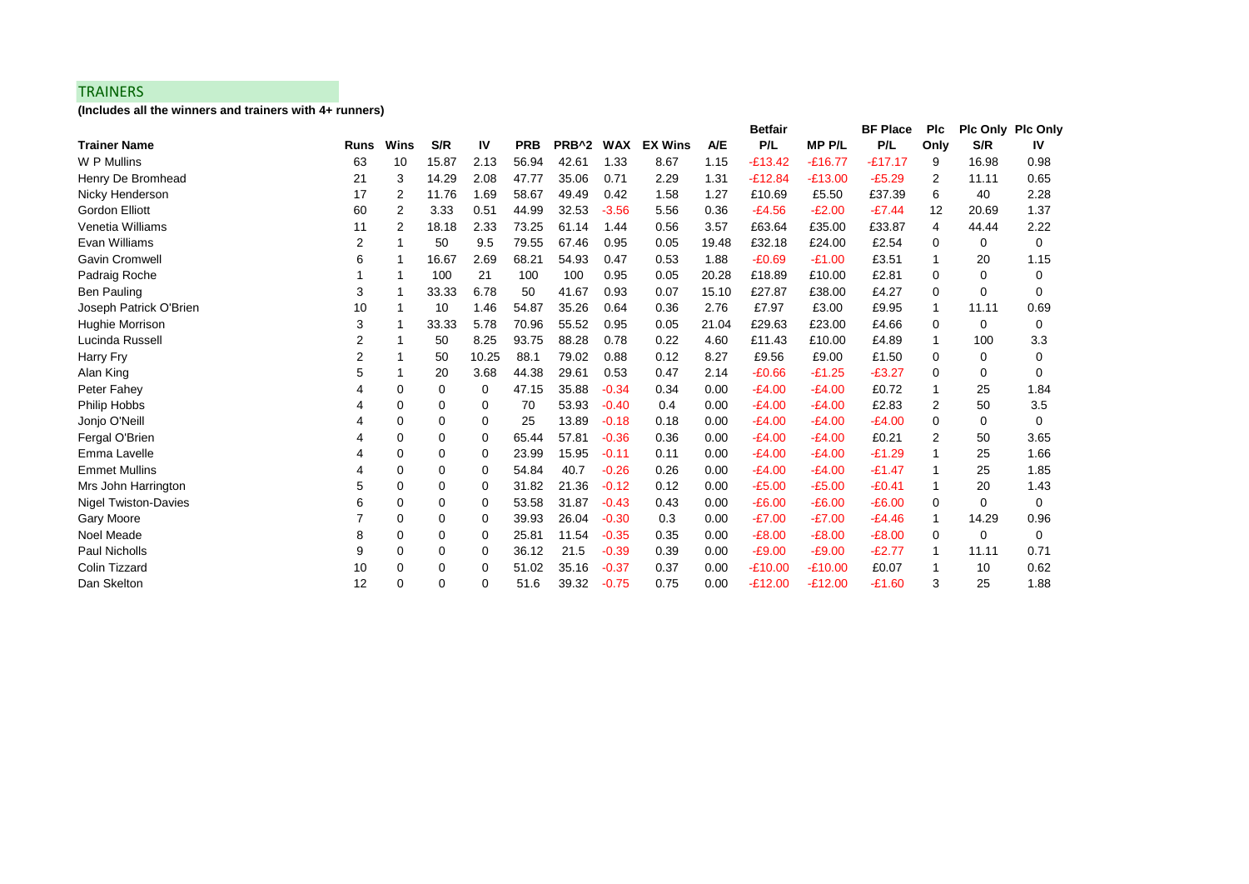### **TRAINERS**

**(Includes all the winners and trainers with 4+ runners)**

|                             |             |             |       |       |            |                   |            |                |            | <b>Betfair</b> |              | <b>BF Place</b> | <b>PIc</b> |          | <b>PIc Only PIc Only</b> |
|-----------------------------|-------------|-------------|-------|-------|------------|-------------------|------------|----------------|------------|----------------|--------------|-----------------|------------|----------|--------------------------|
| <b>Trainer Name</b>         | <b>Runs</b> | Wins        | S/R   | IV    | <b>PRB</b> | PRB <sup>^2</sup> | <b>WAX</b> | <b>EX Wins</b> | <b>A/E</b> | P/L            | <b>MPP/L</b> | P/L             | Only       | S/R      | IV                       |
| W P Mullins                 | 63          | 10          | 15.87 | 2.13  | 56.94      | 42.61             | 1.33       | 8.67           | 1.15       | $-E13.42$      | $-£16.77$    | $-£17.17$       | 9          | 16.98    | 0.98                     |
| Henry De Bromhead           | 21          | 3           | 14.29 | 2.08  | 47.77      | 35.06             | 0.71       | 2.29           | 1.31       | $-£12.84$      | $-£13.00$    | $-£5.29$        | 2          | 11.11    | 0.65                     |
| Nicky Henderson             | 17          | 2           | 11.76 | 1.69  | 58.67      | 49.49             | 0.42       | 1.58           | 1.27       | £10.69         | £5.50        | £37.39          | 6          | 40       | 2.28                     |
| <b>Gordon Elliott</b>       | 60          | 2           | 3.33  | 0.51  | 44.99      | 32.53             | $-3.56$    | 5.56           | 0.36       | $-E4.56$       | $-E2.00$     | $-E7.44$        | 12         | 20.69    | 1.37                     |
| Venetia Williams            | 11          | 2           | 18.18 | 2.33  | 73.25      | 61.14             | 1.44       | 0.56           | 3.57       | £63.64         | £35.00       | £33.87          | 4          | 44.44    | 2.22                     |
| Evan Williams               | 2           |             | 50    | 9.5   | 79.55      | 67.46             | 0.95       | 0.05           | 19.48      | £32.18         | £24.00       | £2.54           | 0          | 0        | $\Omega$                 |
| <b>Gavin Cromwell</b>       | 6           | -1          | 16.67 | 2.69  | 68.21      | 54.93             | 0.47       | 0.53           | 1.88       | $-£0.69$       | $-£1.00$     | £3.51           |            | 20       | 1.15                     |
| Padraig Roche               |             | -1          | 100   | 21    | 100        | 100               | 0.95       | 0.05           | 20.28      | £18.89         | £10.00       | £2.81           | 0          | 0        | 0                        |
| <b>Ben Pauling</b>          | 3           | -1          | 33.33 | 6.78  | 50         | 41.67             | 0.93       | 0.07           | 15.10      | £27.87         | £38.00       | £4.27           | 0          | $\Omega$ | $\Omega$                 |
| Joseph Patrick O'Brien      | 10          |             | 10    | 1.46  | 54.87      | 35.26             | 0.64       | 0.36           | 2.76       | £7.97          | £3.00        | £9.95           | 1          | 11.11    | 0.69                     |
| <b>Hughie Morrison</b>      | 3           |             | 33.33 | 5.78  | 70.96      | 55.52             | 0.95       | 0.05           | 21.04      | £29.63         | £23.00       | £4.66           | 0          | 0        | 0                        |
| Lucinda Russell             | 2           |             | 50    | 8.25  | 93.75      | 88.28             | 0.78       | 0.22           | 4.60       | £11.43         | £10.00       | £4.89           | 1          | 100      | 3.3                      |
| Harry Fry                   | 2           |             | 50    | 10.25 | 88.1       | 79.02             | 0.88       | 0.12           | 8.27       | £9.56          | £9.00        | £1.50           | 0          | 0        | 0                        |
| Alan King                   | 5           |             | 20    | 3.68  | 44.38      | 29.61             | 0.53       | 0.47           | 2.14       | $-£0.66$       | $-£1.25$     | $-E3.27$        | 0          | 0        | 0                        |
| Peter Fahey                 |             | 0           | 0     | 0     | 47.15      | 35.88             | $-0.34$    | 0.34           | 0.00       | $-E4.00$       | $-E4.00$     | £0.72           |            | 25       | 1.84                     |
| Philip Hobbs                |             | 0           | 0     | 0     | 70         | 53.93             | $-0.40$    | 0.4            | 0.00       | $-E4.00$       | $-E4.00$     | £2.83           | 2          | 50       | 3.5                      |
| Jonjo O'Neill               |             | $\mathbf 0$ | 0     | 0     | 25         | 13.89             | $-0.18$    | 0.18           | 0.00       | $-E4.00$       | $-E4.00$     | $-E4.00$        | 0          | 0        | 0                        |
| Fergal O'Brien              |             | $\mathbf 0$ | 0     | 0     | 65.44      | 57.81             | $-0.36$    | 0.36           | 0.00       | $-E4.00$       | $-E4.00$     | £0.21           | 2          | 50       | 3.65                     |
| Emma Lavelle                |             | 0           | 0     | 0     | 23.99      | 15.95             | $-0.11$    | 0.11           | 0.00       | $-E4.00$       | $-E4.00$     | $-£1.29$        |            | 25       | 1.66                     |
| <b>Emmet Mullins</b>        |             | $\mathbf 0$ | 0     | 0     | 54.84      | 40.7              | $-0.26$    | 0.26           | 0.00       | $-E4.00$       | $-E4.00$     | $-£1.47$        |            | 25       | 1.85                     |
| Mrs John Harrington         | 5           | 0           | 0     | 0     | 31.82      | 21.36             | $-0.12$    | 0.12           | 0.00       | $-£5.00$       | $-£5.00$     | $-£0.41$        |            | 20       | 1.43                     |
| <b>Nigel Twiston-Davies</b> | 6           | 0           | 0     | 0     | 53.58      | 31.87             | $-0.43$    | 0.43           | 0.00       | $-E6.00$       | $-E6.00$     | $-£6.00$        | 0          | 0        | 0                        |
| Gary Moore                  |             | 0           | 0     | 0     | 39.93      | 26.04             | $-0.30$    | 0.3            | 0.00       | $-E7.00$       | $-E7.00$     | $-£4.46$        |            | 14.29    | 0.96                     |
| <b>Noel Meade</b>           | 8           | $\mathbf 0$ | 0     | 0     | 25.81      | 11.54             | $-0.35$    | 0.35           | 0.00       | $-E8.00$       | $-E8.00$     | $-E8.00$        | 0          | 0        | 0                        |
| <b>Paul Nicholls</b>        | 9           | $\mathbf 0$ | 0     | 0     | 36.12      | 21.5              | $-0.39$    | 0.39           | 0.00       | $-£9.00$       | $-£9.00$     | $-E2.77$        | 1          | 11.11    | 0.71                     |
| <b>Colin Tizzard</b>        | 10          | 0           | 0     | 0     | 51.02      | 35.16             | $-0.37$    | 0.37           | 0.00       | $-£10.00$      | $-£10.00$    | £0.07           | 1          | 10       | 0.62                     |
| Dan Skelton                 | 12          | $\mathbf 0$ | 0     | 0     | 51.6       | 39.32             | $-0.75$    | 0.75           | 0.00       | $-E12.00$      | $-E12.00$    | $-£1.60$        | 3          | 25       | 1.88                     |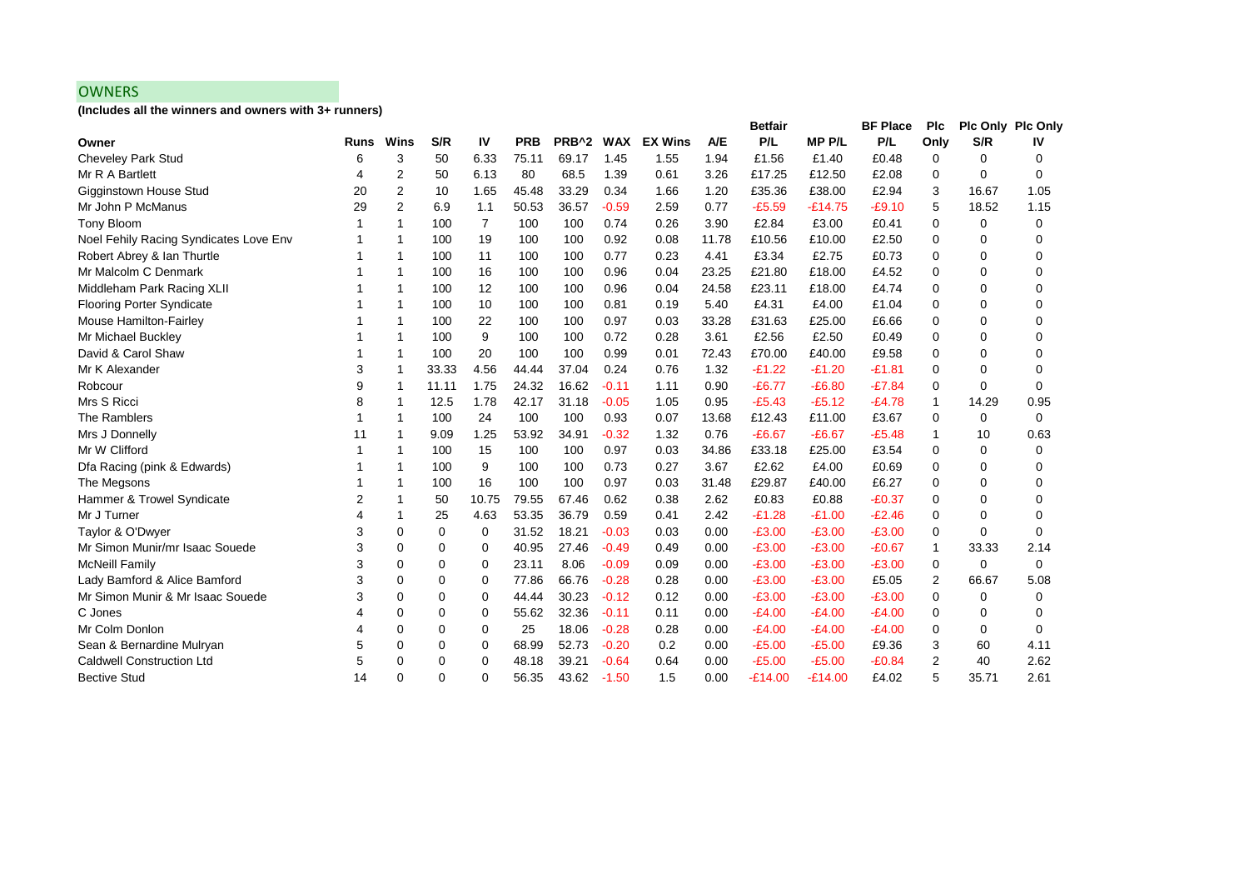## **OWNERS**

**(Includes all the winners and owners with 3+ runners)**

|                                        |             |                |          |       |            |                   |            |                |       | <b>Betfair</b> |              | <b>BF Place</b> | <b>PIc</b>     |             | Plc Only Plc Only |
|----------------------------------------|-------------|----------------|----------|-------|------------|-------------------|------------|----------------|-------|----------------|--------------|-----------------|----------------|-------------|-------------------|
| Owner                                  | <b>Runs</b> | Wins           | S/R      | IV    | <b>PRB</b> | PRB <sup>^2</sup> | <b>WAX</b> | <b>EX Wins</b> | A/E   | P/L            | <b>MPP/L</b> | P/L             | Only           | S/R         | IV                |
| <b>Cheveley Park Stud</b>              | 6           | 3              | 50       | 6.33  | 75.11      | 69.17             | 1.45       | 1.55           | 1.94  | £1.56          | £1.40        | £0.48           | 0              | $\mathbf 0$ | 0                 |
| Mr R A Bartlett                        | 4           | 2              | 50       | 6.13  | 80         | 68.5              | 1.39       | 0.61           | 3.26  | £17.25         | £12.50       | £2.08           | 0              | $\Omega$    | 0                 |
| Gigginstown House Stud                 | 20          | $\overline{2}$ | 10       | 1.65  | 45.48      | 33.29             | 0.34       | 1.66           | 1.20  | £35.36         | £38.00       | £2.94           | 3              | 16.67       | 1.05              |
| Mr John P McManus                      | 29          | $\overline{2}$ | 6.9      | 1.1   | 50.53      | 36.57             | $-0.59$    | 2.59           | 0.77  | $-£5.59$       | $-£14.75$    | $-£9.10$        | 5              | 18.52       | 1.15              |
| Tony Bloom                             |             | -1             | 100      | 7     | 100        | 100               | 0.74       | 0.26           | 3.90  | £2.84          | £3.00        | £0.41           | 0              | 0           | 0                 |
| Noel Fehily Racing Syndicates Love Env |             | -1             | 100      | 19    | 100        | 100               | 0.92       | 0.08           | 11.78 | £10.56         | £10.00       | £2.50           | 0              | 0           | $\Omega$          |
| Robert Abrey & Ian Thurtle             |             | 1              | 100      | 11    | 100        | 100               | 0.77       | 0.23           | 4.41  | £3.34          | £2.75        | £0.73           | 0              | $\Omega$    | $\Omega$          |
| Mr Malcolm C Denmark                   |             | 1              | 100      | 16    | 100        | 100               | 0.96       | 0.04           | 23.25 | £21.80         | £18.00       | £4.52           | 0              | $\mathbf 0$ | $\Omega$          |
| Middleham Park Racing XLII             |             | 1              | 100      | 12    | 100        | 100               | 0.96       | 0.04           | 24.58 | £23.11         | £18.00       | £4.74           | 0              | $\mathbf 0$ | 0                 |
| <b>Flooring Porter Syndicate</b>       |             | -1             | 100      | 10    | 100        | 100               | 0.81       | 0.19           | 5.40  | £4.31          | £4.00        | £1.04           | 0              | $\Omega$    | 0                 |
| Mouse Hamilton-Fairley                 |             | -1             | 100      | 22    | 100        | 100               | 0.97       | 0.03           | 33.28 | £31.63         | £25.00       | £6.66           | 0              | $\Omega$    | 0                 |
| Mr Michael Buckley                     |             | -1             | 100      | 9     | 100        | 100               | 0.72       | 0.28           | 3.61  | £2.56          | £2.50        | £0.49           | 0              | $\Omega$    | 0                 |
| David & Carol Shaw                     |             | -1             | 100      | 20    | 100        | 100               | 0.99       | 0.01           | 72.43 | £70.00         | £40.00       | £9.58           | 0              | $\Omega$    | $\Omega$          |
| Mr K Alexander                         | 3           | 1              | 33.33    | 4.56  | 44.44      | 37.04             | 0.24       | 0.76           | 1.32  | $-E1.22$       | $-E1.20$     | $-£1.81$        | 0              | $\Omega$    | $\Omega$          |
| Robcour                                | 9           | 1              | 11.11    | 1.75  | 24.32      | 16.62             | $-0.11$    | 1.11           | 0.90  | $-£6.77$       | $-E6.80$     | $-E7.84$        | 0              | $\Omega$    | $\Omega$          |
| Mrs S Ricci                            | 8           | -1             | 12.5     | 1.78  | 42.17      | 31.18             | $-0.05$    | 1.05           | 0.95  | $-E5.43$       | $-£5.12$     | $-E4.78$        | 1              | 14.29       | 0.95              |
| The Ramblers                           |             | -1             | 100      | 24    | 100        | 100               | 0.93       | 0.07           | 13.68 | £12.43         | £11.00       | £3.67           | 0              | 0           | $\Omega$          |
| Mrs J Donnelly                         | 11          | 1              | 9.09     | 1.25  | 53.92      | 34.91             | $-0.32$    | 1.32           | 0.76  | $-£6.67$       | $-£6.67$     | $-£5.48$        | 1              | 10          | 0.63              |
| Mr W Clifford                          |             | -1             | 100      | 15    | 100        | 100               | 0.97       | 0.03           | 34.86 | £33.18         | £25.00       | £3.54           | 0              | $\mathbf 0$ | 0                 |
| Dfa Racing (pink & Edwards)            |             | -1             | 100      | 9     | 100        | 100               | 0.73       | 0.27           | 3.67  | £2.62          | £4.00        | £0.69           | 0              | $\mathbf 0$ | 0                 |
| The Megsons                            |             | 1              | 100      | 16    | 100        | 100               | 0.97       | 0.03           | 31.48 | £29.87         | £40.00       | £6.27           | $\Omega$       | $\mathbf 0$ | $\Omega$          |
| Hammer & Trowel Syndicate              | 2           | 1              | 50       | 10.75 | 79.55      | 67.46             | 0.62       | 0.38           | 2.62  | £0.83          | £0.88        | $-E0.37$        | 0              | $\Omega$    | 0                 |
| Mr J Turner                            | 4           | 1              | 25       | 4.63  | 53.35      | 36.79             | 0.59       | 0.41           | 2.42  | $-E1.28$       | $-£1.00$     | $-E2.46$        | 0              | $\Omega$    | $\Omega$          |
| Taylor & O'Dwyer                       | 3           | $\mathbf 0$    | 0        | 0     | 31.52      | 18.21             | $-0.03$    | 0.03           | 0.00  | $-£3.00$       | $-£3.00$     | $-E3.00$        | 0              | $\Omega$    | 0                 |
| Mr Simon Munir/mr Isaac Souede         | 3           | $\Omega$       | $\Omega$ | 0     | 40.95      | 27.46             | $-0.49$    | 0.49           | 0.00  | $-£3.00$       | $-£3.00$     | $-£0.67$        | 1              | 33.33       | 2.14              |
| <b>McNeill Family</b>                  | 3           | $\mathbf 0$    | 0        | 0     | 23.11      | 8.06              | $-0.09$    | 0.09           | 0.00  | $-£3.00$       | $-£3.00$     | $-£3.00$        | 0              | 0           | $\Omega$          |
| Lady Bamford & Alice Bamford           | 3           | $\mathbf 0$    | 0        | 0     | 77.86      | 66.76             | $-0.28$    | 0.28           | 0.00  | $-£3.00$       | $-£3.00$     | £5.05           | 2              | 66.67       | 5.08              |
| Mr Simon Munir & Mr Isaac Souede       | 3           | $\mathbf 0$    | 0        | 0     | 44.44      | 30.23             | $-0.12$    | 0.12           | 0.00  | $-E3.00$       | $-£3.00$     | $-£3.00$        | 0              | $\Omega$    | 0                 |
| C Jones                                |             | 0              | 0        | 0     | 55.62      | 32.36             | $-0.11$    | 0.11           | 0.00  | $-E4.00$       | $-E4.00$     | $-E4.00$        | 0              | 0           | 0                 |
| Mr Colm Donlon                         | 4           | $\mathbf 0$    | 0        | 0     | 25         | 18.06             | $-0.28$    | 0.28           | 0.00  | $-E4.00$       | $-E4.00$     | $-E4.00$        | 0              | 0           | 0                 |
| Sean & Bernardine Mulryan              | 5           | $\mathbf 0$    | 0        | 0     | 68.99      | 52.73             | $-0.20$    | 0.2            | 0.00  | $-£5.00$       | $-£5.00$     | £9.36           | 3              | 60          | 4.11              |
| <b>Caldwell Construction Ltd</b>       | 5           | $\mathbf 0$    | 0        | 0     | 48.18      | 39.21             | $-0.64$    | 0.64           | 0.00  | $-£5.00$       | $-£5.00$     | $-£0.84$        | $\overline{2}$ | 40          | 2.62              |
| <b>Bective Stud</b>                    | 14          | $\Omega$       | 0        | 0     | 56.35      | 43.62             | $-1.50$    | 1.5            | 0.00  | $-£14.00$      | $-£14.00$    | £4.02           | 5              | 35.71       | 2.61              |
|                                        |             |                |          |       |            |                   |            |                |       |                |              |                 |                |             |                   |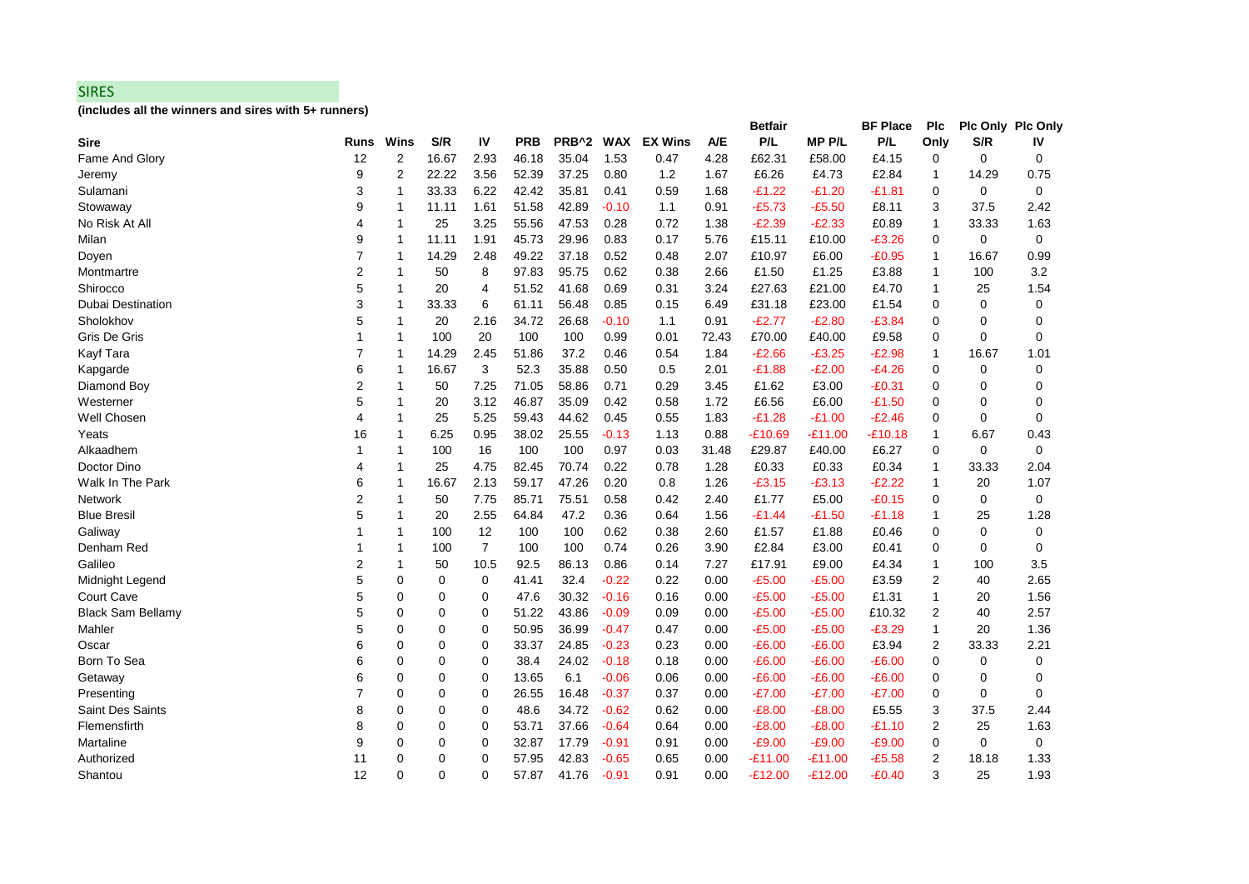#### SIRES

**(includes all the winners and sires with 5+ runners)**

| <b>Runs</b>    | Wins           | S/R         | IV             | <b>PRB</b> |       | <b>WAX</b> | <b>EX Wins</b>    | <b>A/E</b> | P/L       | <b>MPP/L</b> | P/L       | Only            | S/R         | IV                       |
|----------------|----------------|-------------|----------------|------------|-------|------------|-------------------|------------|-----------|--------------|-----------|-----------------|-------------|--------------------------|
| 12             | 2              | 16.67       | 2.93           | 46.18      | 35.04 | 1.53       | 0.47              | 4.28       | £62.31    | £58.00       | £4.15     | 0               | 0           | 0                        |
| 9              | $\overline{2}$ | 22.22       | 3.56           | 52.39      | 37.25 | 0.80       | 1.2               | 1.67       | £6.26     | £4.73        | £2.84     | 1               | 14.29       | 0.75                     |
| 3              | 1              | 33.33       | 6.22           | 42.42      | 35.81 | 0.41       | 0.59              | 1.68       | $-£1.22$  | -£1.20       | $-£1.81$  | 0               | 0           | 0                        |
| 9              | 1              | 11.11       | 1.61           | 51.58      | 42.89 | $-0.10$    | 1.1               | 0.91       | $-E5.73$  | $-£5.50$     | £8.11     | 3               | 37.5        | 2.42                     |
| 4              | 1              | 25          | 3.25           | 55.56      | 47.53 | 0.28       | 0.72              | 1.38       | $-E2.39$  | $-E2.33$     | £0.89     | 1               | 33.33       | 1.63                     |
| 9              | 1              | 11.11       | 1.91           | 45.73      | 29.96 | 0.83       | 0.17              | 5.76       | £15.11    | £10.00       | $-£3.26$  | 0               | 0           | $\mathbf 0$              |
| 7              | $\mathbf{1}$   | 14.29       | 2.48           | 49.22      | 37.18 | 0.52       | 0.48              | 2.07       | £10.97    | £6.00        | $-£0.95$  | $\mathbf{1}$    | 16.67       | 0.99                     |
| $\overline{2}$ | 1              | 50          | 8              | 97.83      | 95.75 | 0.62       | 0.38              | 2.66       | £1.50     | £1.25        | £3.88     | 1               | 100         | 3.2                      |
| 5              | 1              | 20          | 4              | 51.52      | 41.68 | 0.69       | 0.31              | 3.24       | £27.63    | £21.00       | £4.70     | 1               | 25          | 1.54                     |
| 3              | 1              | 33.33       | 6              | 61.11      | 56.48 | 0.85       | 0.15              | 6.49       | £31.18    | £23.00       | £1.54     | 0               | 0           | 0                        |
| 5              | 1              | 20          | 2.16           | 34.72      | 26.68 | $-0.10$    | 1.1               | 0.91       | $-E2.77$  | $-E2.80$     | $-E3.84$  | 0               | $\Omega$    | 0                        |
| 1              | 1              | 100         | 20             | 100        | 100   | 0.99       | 0.01              | 72.43      | £70.00    | £40.00       | £9.58     | 0               | 0           | 0                        |
| $\overline{7}$ | 1              | 14.29       | 2.45           | 51.86      | 37.2  | 0.46       | 0.54              | 1.84       | $-E2.66$  | $-£3.25$     | $-E2.98$  | 1               | 16.67       | 1.01                     |
| 6              | 1              | 16.67       | 3              | 52.3       | 35.88 | 0.50       | 0.5               | 2.01       | $-E1.88$  | $-E2.00$     | $-E4.26$  | 0               | 0           | 0                        |
| $\overline{2}$ | 1              | 50          | 7.25           | 71.05      | 58.86 | 0.71       | 0.29              | 3.45       | £1.62     | £3.00        | $-E0.31$  | $\Omega$        | $\Omega$    | $\Omega$                 |
| 5              | 1              | 20          | 3.12           | 46.87      | 35.09 | 0.42       | 0.58              | 1.72       | £6.56     | £6.00        | $-£1.50$  | 0               | 0           | 0                        |
| 4              | 1              | 25          | 5.25           | 59.43      | 44.62 | 0.45       | 0.55              | 1.83       | $-£1.28$  | $-£1.00$     | $-E2.46$  | 0               | 0           | 0                        |
| 16             | 1              | 6.25        | 0.95           | 38.02      | 25.55 | $-0.13$    | 1.13              | 0.88       | $-£10.69$ | -£11.00      | $-£10.18$ | 1               | 6.67        | 0.43                     |
| 1              | 1              | 100         | 16             | 100        | 100   | 0.97       | 0.03              | 31.48      | £29.87    | £40.00       | £6.27     | 0               | 0           | 0                        |
| 4              | $\mathbf{1}$   | 25          | 4.75           | 82.45      | 70.74 | 0.22       | 0.78              | 1.28       | £0.33     | £0.33        | £0.34     | 1               | 33.33       | 2.04                     |
| 6              | 1              | 16.67       | 2.13           | 59.17      | 47.26 | 0.20       | 0.8               | 1.26       | $-£3.15$  | $-E3.13$     | $-E2.22$  | 1               | 20          | 1.07                     |
| 2              | 1              | 50          | 7.75           | 85.71      | 75.51 | 0.58       | 0.42              | 2.40       | £1.77     | £5.00        | $-£0.15$  | 0               | $\mathbf 0$ | 0                        |
| 5              | 1              | 20          | 2.55           | 64.84      | 47.2  | 0.36       | 0.64              | 1.56       | $-£1.44$  | -£1.50       | -£1.18    | 1               | 25          | 1.28                     |
|                | 1              | 100         | 12             | 100        | 100   | 0.62       | 0.38              | 2.60       | £1.57     | £1.88        | £0.46     | 0               | 0           | 0                        |
| 1              | 1              | 100         | $\overline{7}$ | 100        | 100   | 0.74       | 0.26              | 3.90       | £2.84     | £3.00        | £0.41     | $\Omega$        | 0           | 0                        |
| $\overline{2}$ | 1              | 50          | 10.5           | 92.5       | 86.13 | 0.86       | 0.14              | 7.27       | £17.91    | £9.00        | £4.34     | 1               | 100         | 3.5                      |
| 5              | 0              | 0           | 0              | 41.41      | 32.4  | $-0.22$    | 0.22              | 0.00       | $-£5.00$  | -£5.00       | £3.59     | 2               | 40          | 2.65                     |
| 5              | 0              | 0           | 0              | 47.6       | 30.32 | $-0.16$    | 0.16              | 0.00       | $-£5.00$  | $-£5.00$     | £1.31     | 1               | 20          | 1.56                     |
| 5              | 0              | 0           | 0              | 51.22      | 43.86 | $-0.09$    | 0.09              | 0.00       | $-£5.00$  | -£5.00       | £10.32    | 2               | 40          | 2.57                     |
| 5              | $\Omega$       | $\Omega$    | $\Omega$       | 50.95      | 36.99 | $-0.47$    | 0.47              | 0.00       | $-£5.00$  | $-£5.00$     | $-E3.29$  | $\mathbf{1}$    | 20          | 1.36                     |
| 6              | 0              | 0           | 0              | 33.37      | 24.85 | $-0.23$    | 0.23              | 0.00       | $-£6.00$  | $-E6.00$     | £3.94     | 2               | 33.33       | 2.21                     |
| 6              | $\mathbf 0$    | $\mathbf 0$ | 0              | 38.4       | 24.02 | $-0.18$    | 0.18              | 0.00       | $-E6.00$  | $-E6.00$     | $-£6.00$  | 0               | 0           | 0                        |
| 6              | 0              | 0           | 0              | 13.65      | 6.1   | $-0.06$    | 0.06              | 0.00       | $-E6.00$  | -£6.00       | $-£6.00$  | 0               | 0           | 0                        |
| $\overline{7}$ | 0              | 0           | 0              | 26.55      | 16.48 | $-0.37$    | 0.37              | 0.00       | $-E7.00$  | $-£7.00$     | $-E7.00$  | 0               | 0           | 0                        |
| 8              | $\Omega$       | $\Omega$    | 0              | 48.6       | 34.72 | $-0.62$    | 0.62              | 0.00       | $-E8.00$  | $-E8.00$     | £5.55     | 3               | 37.5        | 2.44                     |
| 8              | $\Omega$       | 0           | 0              | 53.71      | 37.66 | $-0.64$    | 0.64              | 0.00       | $-E8.00$  | $-E8.00$     | $-£1.10$  | 2               | 25          | 1.63                     |
| 9              | 0              | 0           | 0              | 32.87      | 17.79 | $-0.91$    | 0.91              | 0.00       | $-£9.00$  | $-£9.00$     | $-£9.00$  | 0               | 0           | 0                        |
| 11             | 0              | 0           | 0              | 57.95      | 42.83 | $-0.65$    | 0.65              | 0.00       | $-£11.00$ | $-£11.00$    | $-£5.58$  | 2               | 18.18       | 1.33                     |
| 12             | 0              | $\Omega$    | 0              | 57.87      | 41.76 | $-0.91$    | 0.91              | 0.00       | $-£12.00$ | $-E12.00$    | $-£0.40$  | 3               | 25          | 1.93                     |
|                |                |             |                |            |       |            | PRB <sup>^2</sup> |            |           | Betfair      |           | <b>BF Place</b> | <b>PIC</b>  | <b>PIc Only PIc Only</b> |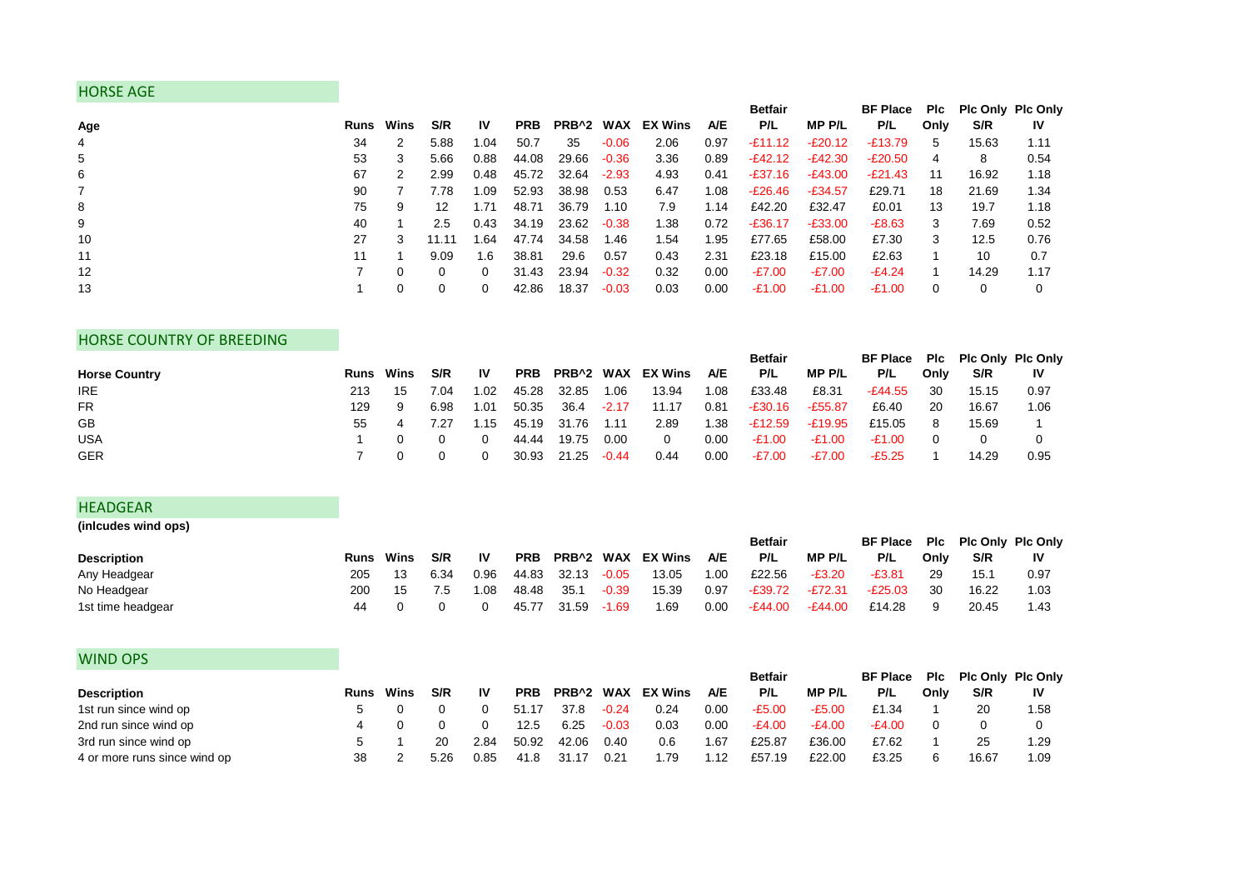## HORSE AGE

|     |    |                  |       |           |            |                  |         |         |            | <b>Betfair</b> |               | <b>BF Place</b> |      | Pic Pic Only Pic Only |           |
|-----|----|------------------|-------|-----------|------------|------------------|---------|---------|------------|----------------|---------------|-----------------|------|-----------------------|-----------|
| Age |    | <b>Runs</b> Wins | S/R   | <b>IV</b> | <b>PRB</b> | <b>PRB^2 WAX</b> |         | EX Wins | <b>A/E</b> | P/L            | <b>MP P/L</b> | P/L             | Only | S/R                   | <b>IV</b> |
| 4   | 34 | 2                | 5.88  | 1.04      | 50.7       | 35               | $-0.06$ | 2.06    | 0.97       | $-£11.12$      | $-E20.12$     | -£13.79         | 5    | 15.63                 | 1.11      |
| 5   | 53 | 3                | 5.66  | 0.88      | 44.08      | 29.66            | $-0.36$ | 3.36    | 0.89       | $-E42.12$      | $-E42.30$     | $-E20.50$       | 4    | 8                     | 0.54      |
| 6   | 67 | 2                | 2.99  | 0.48      | 45.72      | 32.64            | $-2.93$ | 4.93    | 0.41       | $-£37.16$      | -£43.00       | $-E21.43$       | 11   | 16.92                 | 1.18      |
|     | 90 |                  | 7.78  | I.O9      | 52.93      | 38.98            | 0.53    | 6.47    | 1.08       | $-£26.46$      | $-E34.57$     | £29.71          | 18   | 21.69                 | 1.34      |
| 8   | 75 | 9                | 12    | 1.71      | 48.71      | 36.79            | 1.10    | 7.9     | 1.14       | £42.20         | £32.47        | £0.01           | 13   | 19.7                  | 1.18      |
| 9   | 40 |                  | 2.5   | 0.43      | 34.19      | 23.62            | $-0.38$ | 1.38    | 0.72       | $-£36.17$      | $-E33.00$     | $-E8.63$        | 3    | 7.69                  | 0.52      |
| 10  | 27 | 3                | 11.11 | .64       | 47.74      | 34.58            | 1.46    | 1.54    | 1.95       | £77.65         | £58.00        | £7.30           | 3    | 12.5                  | 0.76      |
| 11  | 11 |                  | 9.09  | 1.6       | 38.81      | 29.6             | 0.57    | 0.43    | 2.31       | £23.18         | £15.00        | £2.63           |      | 10                    | 0.7       |
| 12  |    | 0                | 0     | $\Omega$  | 31.43      | 23.94            | $-0.32$ | 0.32    | 0.00       | $-E7.00$       | $-E7.00$      | $-E4.24$        |      | 14.29                 | 1.17      |
| 13  |    | 0                | 0     | 0         | 42.86      | 18.37            | $-0.03$ | 0.03    | 0.00       | $-E1.00$       | -£1.00        | $-E1.00$        | 0    |                       |           |

## HORSE COUNTRY OF BREEDING

|                      |     |                  |      |           |       |             |         |                       |      | <b>Betfair</b> |           | BF Place Plc Plc Only Plc Only |          |       |           |
|----------------------|-----|------------------|------|-----------|-------|-------------|---------|-----------------------|------|----------------|-----------|--------------------------------|----------|-------|-----------|
| <b>Horse Country</b> |     | <b>Runs</b> Wins | S/R  | <b>IV</b> |       |             |         | PRB PRB^2 WAX EX Wins | A/E  | P/L            | MP P/L    | P/L                            | Only     | S/R   | <b>IV</b> |
| IRE.                 | 213 | -15              | 7.04 | 1.02      | 45.28 | 32.85       | 1.06    | 13.94                 | 1.08 | £33.48         | £8.31     | -£44.55                        | -30      | 15.15 | 0.97      |
| <b>FR</b>            | 129 | 9                | 6.98 | 1.01      | 50.35 | 36.4        | $-2.17$ | 11.17                 | 0.81 | -£30.16        | -£55.87   | £6.40                          | -20      | 16.67 | 1.06      |
| GB                   | 55  | 4                | 7.27 | 1.15      |       | 45.19 31.76 | 1.11    | 2.89                  | 1.38 | -£12.59        | $-£19.95$ | £15.05                         | 8        | 15.69 |           |
| <b>USA</b>           |     |                  |      | 0         | 44.44 | 19.75       | 0.00    | $\mathbf{0}$          | 0.00 | -£1.00         | -£1.00    | -£1.00                         | $\Omega$ |       |           |
| <b>GER</b>           |     |                  |      |           | 30.93 | 21.25       | $-0.44$ | 0.44                  | 0.00 | -£7.00         | $-E7.00$  | $-E5.25$                       |          | 14.29 | 0.95      |

#### HEADGEAR

| (inlcudes wind ops) |      |      |      |      |            |                  |         |         |            |                |           |                                |      |       |      |
|---------------------|------|------|------|------|------------|------------------|---------|---------|------------|----------------|-----------|--------------------------------|------|-------|------|
|                     |      |      |      |      |            |                  |         |         |            | <b>Betfair</b> |           | BF Place Plc Plc Only Plc Only |      |       |      |
| <b>Description</b>  | Runs | Wins | S/R  | 1V   | <b>PRB</b> | <b>PRB^2 WAX</b> |         | EX Wins | <b>A/E</b> | P/L            | MP P/L    | P/L                            | Only | S/R   | IV   |
| Any Headgear        | 205  |      | 6.34 | 0.96 | 44.83      | 32.13            | $-0.05$ | 13.05   | 0.00       | £22.56         | $-E3.20$  | -£3.81                         |      | 15.1  | 0.97 |
| No Headgear         | 200  | 15   | 7.5  | .08  | 48.48      | 35.1             | $-0.39$ | 15.39   | 0.97       | $-E39.72$      | $-E72.31$ | $-E25.03$                      | 30   | 16.22 | 1.03 |
| 1st time headgear   | 44   |      |      |      | 45.77      | 31.59            | $-1.69$ | 1.69    | 0.00       | $-E44.00$      | $-E44.00$ | £14.28                         |      | 20.45 | 1.43 |

| <b>WIND OPS</b>              |                  |      |      |            |       |         |                |            |                |          |                 |      |       |                          |
|------------------------------|------------------|------|------|------------|-------|---------|----------------|------------|----------------|----------|-----------------|------|-------|--------------------------|
|                              |                  |      |      |            |       |         |                |            | <b>Betfair</b> |          | <b>BF Place</b> | Plc  |       | <b>Pic Only Pic Only</b> |
| <b>Description</b>           | <b>Runs</b> Wins | S/R  | IV   | <b>PRB</b> | PRB^2 | WAX     | <b>EX Wins</b> | <b>A/E</b> | P/L            | MP P/L   | P/L             | Only | S/R   | 1V                       |
| 1st run since wind op        |                  |      |      | 51.17      | 37.8  | $-0.24$ | 0.24           | 0.00       | $-E5.00$       | $-£5.00$ | £1.34           |      | 20    | 1.58                     |
| 2nd run since wind op        | 4                |      |      | 12.5       | 6.25  | $-0.03$ | 0.03           | 0.00       | $-E4.00$       | $-E4.00$ | $-E4.00$        |      |       |                          |
| 3rd run since wind op        |                  | 20   | 2.84 | 50.92      | 42.06 | 0.40    | 0.6            | 1.67       | £25.87         | £36.00   | £7.62           |      | 25    | 1.29                     |
| 4 or more runs since wind op | 38               | 5.26 | 0.85 | 41.8       |       | 0.21    | 1.79           | .12        | £57.19         | £22.00   | £3.25           |      | 16.67 | 1.09                     |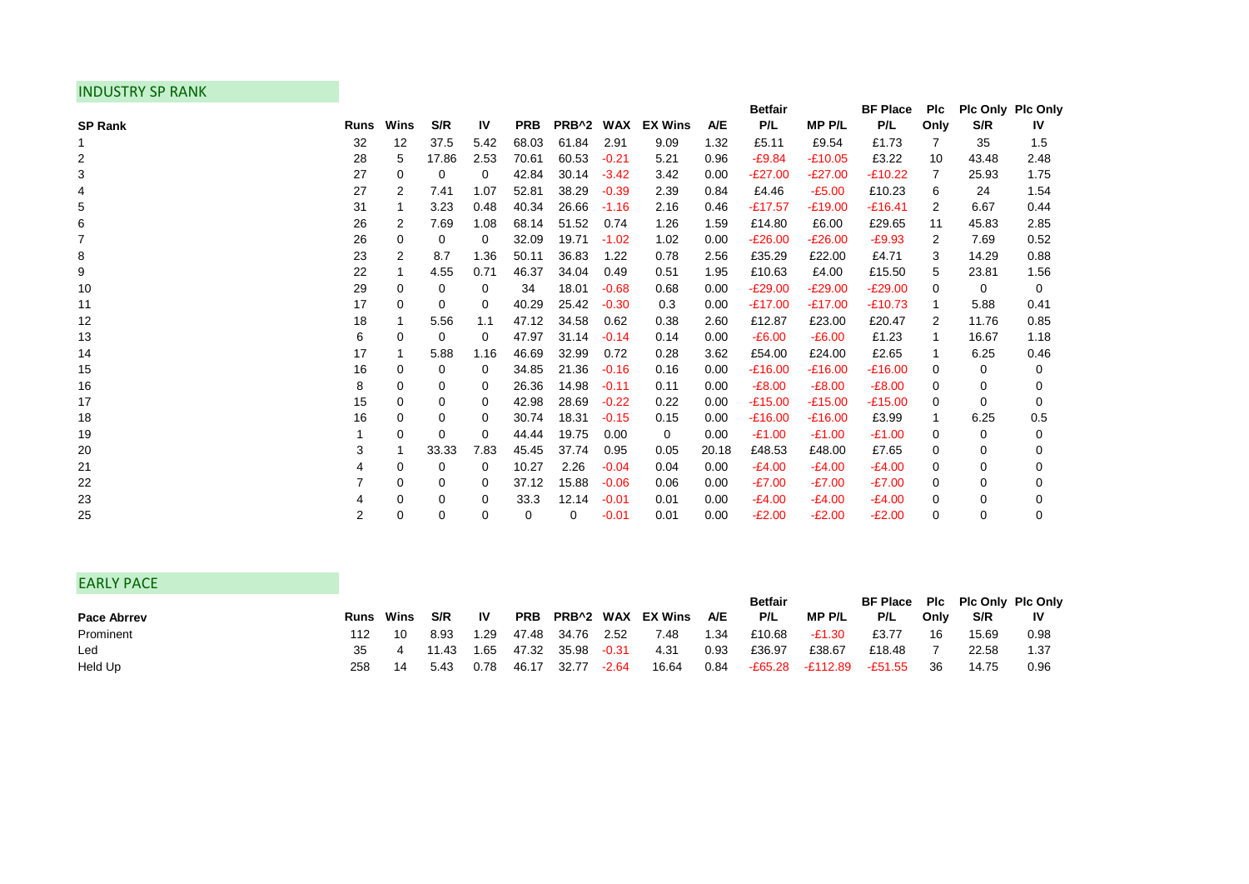## INDUSTRY SP RANK

|                |             |      |             |           |            |                       |         |                |       | <b>Betfair</b> |              | <b>BF Place</b> | <b>PIc</b> | Plc Only Plc Only |          |
|----------------|-------------|------|-------------|-----------|------------|-----------------------|---------|----------------|-------|----------------|--------------|-----------------|------------|-------------------|----------|
| <b>SP Rank</b> | <b>Runs</b> | Wins | S/R         | <b>IV</b> | <b>PRB</b> | PRB <sup>^2</sup> WAX |         | <b>EX Wins</b> | A/E   | P/L            | <b>MPP/L</b> | P/L             | Only       | S/R               | IV       |
|                | 32          | 12   | 37.5        | 5.42      | 68.03      | 61.84                 | 2.91    | 9.09           | 1.32  | £5.11          | £9.54        | £1.73           | 7          | 35                | 1.5      |
| 2              | 28          | 5    | 17.86       | 2.53      | 70.61      | 60.53                 | $-0.21$ | 5.21           | 0.96  | $-E9.84$       | $-£10.05$    | £3.22           | 10         | 43.48             | 2.48     |
| 3              | 27          | 0    | 0           | 0         | 42.84      | 30.14                 | $-3.42$ | 3.42           | 0.00  | $-E27.00$      | $-E27.00$    | $-£10.22$       | 7          | 25.93             | 1.75     |
|                | 27          | 2    | 7.41        | 1.07      | 52.81      | 38.29                 | $-0.39$ | 2.39           | 0.84  | £4.46          | $-£5.00$     | £10.23          | 6          | 24                | 1.54     |
| 5              | 31          | 1    | 3.23        | 0.48      | 40.34      | 26.66                 | $-1.16$ | 2.16           | 0.46  | $-£17.57$      | $-£19.00$    | $-£16.41$       | 2          | 6.67              | 0.44     |
| 6              | 26          | 2    | 7.69        | 1.08      | 68.14      | 51.52                 | 0.74    | 1.26           | 1.59  | £14.80         | £6.00        | £29.65          | 11         | 45.83             | 2.85     |
| 7              | 26          | 0    | 0           | 0         | 32.09      | 19.71                 | $-1.02$ | 1.02           | 0.00  | $-E26.00$      | $-E26.00$    | $-E9.93$        | 2          | 7.69              | 0.52     |
| 8              | 23          | 2    | 8.7         | 1.36      | 50.11      | 36.83                 | 1.22    | 0.78           | 2.56  | £35.29         | £22.00       | £4.71           | 3          | 14.29             | 0.88     |
| 9              | 22          | 1    | 4.55        | 0.71      | 46.37      | 34.04                 | 0.49    | 0.51           | 1.95  | £10.63         | £4.00        | £15.50          | 5          | 23.81             | 1.56     |
| 10             | 29          | 0    | 0           | 0         | 34         | 18.01                 | $-0.68$ | 0.68           | 0.00  | $-E29.00$      | $-E29.00$    | $-E29.00$       | 0          | 0                 | 0        |
| 11             | 17          | 0    | $\Omega$    | 0         | 40.29      | 25.42                 | $-0.30$ | 0.3            | 0.00  | $-£17.00$      | $-£17.00$    | $-£10.73$       |            | 5.88              | 0.41     |
| 12             | 18          | 1    | 5.56        | 1.1       | 47.12      | 34.58                 | 0.62    | 0.38           | 2.60  | £12.87         | £23.00       | £20.47          | 2          | 11.76             | 0.85     |
| 13             | 6           | 0    | 0           | 0         | 47.97      | 31.14                 | $-0.14$ | 0.14           | 0.00  | $-E6.00$       | $-£6.00$     | £1.23           |            | 16.67             | 1.18     |
| 14             | 17          |      | 5.88        | 1.16      | 46.69      | 32.99                 | 0.72    | 0.28           | 3.62  | £54.00         | £24.00       | £2.65           |            | 6.25              | 0.46     |
| 15             | 16          | 0    | 0           | 0         | 34.85      | 21.36                 | $-0.16$ | 0.16           | 0.00  | $-£16.00$      | $-£16.00$    | $-£16.00$       | 0          | 0                 | 0        |
| 16             | 8           | 0    | 0           | 0         | 26.36      | 14.98                 | $-0.11$ | 0.11           | 0.00  | $-E8.00$       | $-E8.00$     | $-E8.00$        | 0          | 0                 | 0        |
| 17             | 15          | 0    | 0           | 0         | 42.98      | 28.69                 | $-0.22$ | 0.22           | 0.00  | $-£15.00$      | $-£15.00$    | $-£15.00$       | 0          | $\Omega$          | $\Omega$ |
| 18             | 16          | 0    | 0           | 0         | 30.74      | 18.31                 | $-0.15$ | 0.15           | 0.00  | $-£16.00$      | $-£16.00$    | £3.99           |            | 6.25              | 0.5      |
| 19             |             | 0    | $\Omega$    | 0         | 44.44      | 19.75                 | 0.00    | 0              | 0.00  | $-£1.00$       | $-£1.00$     | $-£1.00$        | 0          | 0                 | 0        |
| 20             | 3           | 1    | 33.33       | 7.83      | 45.45      | 37.74                 | 0.95    | 0.05           | 20.18 | £48.53         | £48.00       | £7.65           | 0          | 0                 | 0        |
| 21             |             | 0    | 0           | 0         | 10.27      | 2.26                  | $-0.04$ | 0.04           | 0.00  | $-E4.00$       | $-E4.00$     | $-E4.00$        | 0          | 0                 | 0        |
| 22             |             | 0    | 0           | 0         | 37.12      | 15.88                 | $-0.06$ | 0.06           | 0.00  | $-E7.00$       | $-E7.00$     | $-E7.00$        | 0          | 0                 | 0        |
| 23             |             | 0    | 0           | 0         | 33.3       | 12.14                 | $-0.01$ | 0.01           | 0.00  | $-E4.00$       | $-£4.00$     | $-E4.00$        | 0          | $\Omega$          | 0        |
| 25             | 2           | 0    | $\mathbf 0$ | 0         | 0          | 0                     | $-0.01$ | 0.01           | 0.00  | $-E2.00$       | $-E2.00$     | $-E2.00$        | 0          | $\mathbf 0$       | 0        |

| <b>EARLY PACE</b>  |     |                  |       |           |       |             |         |                      |      |                |                 |                                |      |       |      |
|--------------------|-----|------------------|-------|-----------|-------|-------------|---------|----------------------|------|----------------|-----------------|--------------------------------|------|-------|------|
|                    |     |                  |       |           |       |             |         |                      |      | <b>Betfair</b> |                 | BF Place Plc Plc Only Plc Only |      |       |      |
| <b>Pace Abrrey</b> |     | <b>Runs</b> Wins | S/R   | <b>IV</b> |       |             |         | PRB PRB^2 WAX EXWins | A/E  | P/L            | MP P/L          | P/L                            | Only | S/R   | -lV  |
| Prominent          | 112 | 10               | 8.93  | 1.29      |       | 47.48 34.76 | 2.52    | 7.48                 | 1.34 | £10.68         | -£1.30          | £3.77                          | 16   | 15.69 | 0.98 |
| Led                | 35  |                  | 11.43 | 1.65      | 47.32 | 35.98       | $-0.31$ | 4.31                 | 0.93 | £36.97         | £38.67          | £18.48                         |      | 22.58 | 1.37 |
| Held Up            | 258 | -14              | 5.43  | 0.78      | 46.17 | 32.77       | $-2.64$ | 16.64                | 0.84 |                | E65.28 -£112.89 | -£51.55                        | -36  | 14.75 | 0.96 |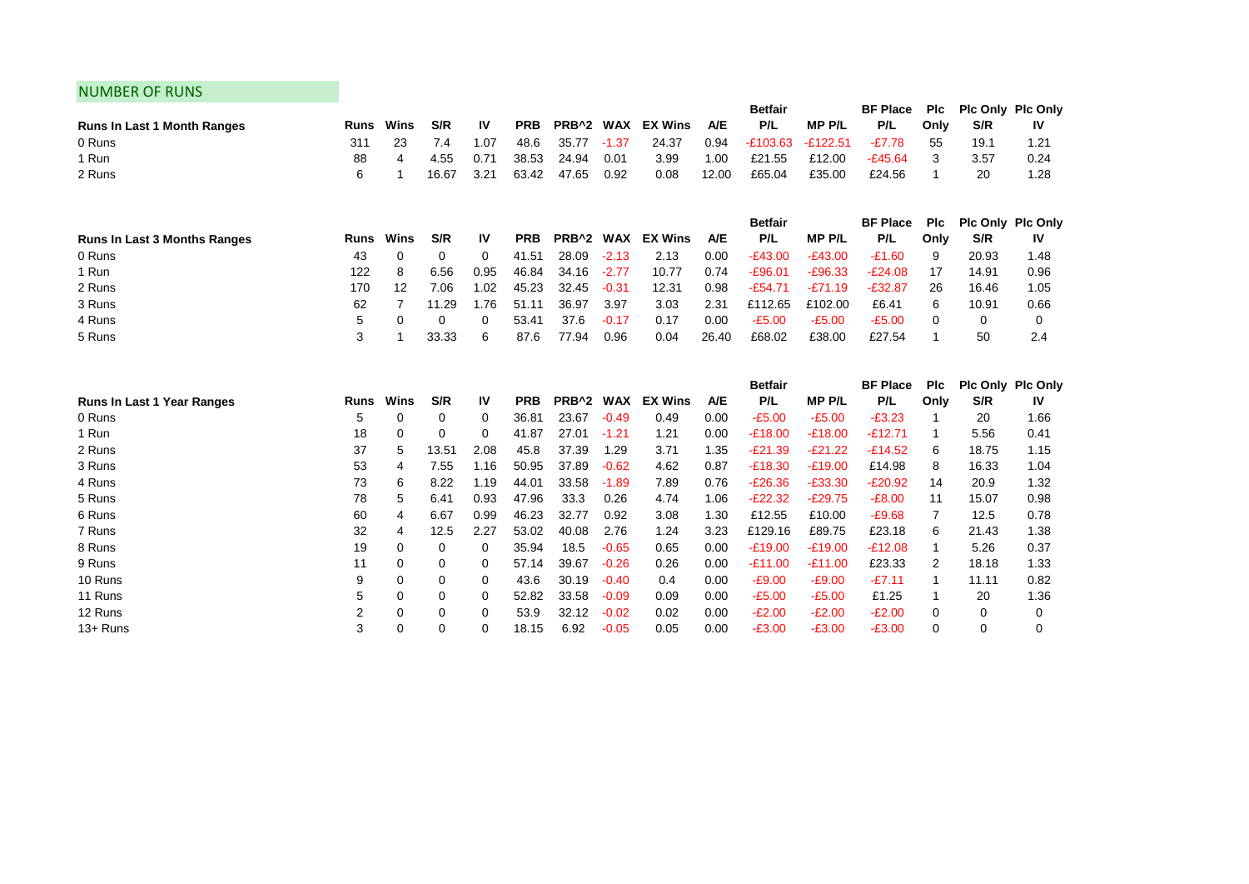## NUMBER OF RUNS

| <b>Runs In Last 1 Month Ranges</b>          | <b>Runs</b> | Wins        | S/R         | IV       | <b>PRB</b> | PRB <sup>^2</sup> | <b>WAX</b> | <b>EX Wins</b> | A/E   | Betfair<br>P/L        | <b>MPP/L</b>       | <b>BF Place</b><br>P/L | <b>PIc</b><br>Only | S/R                      | Plc Only Plc Only<br>IV |
|---------------------------------------------|-------------|-------------|-------------|----------|------------|-------------------|------------|----------------|-------|-----------------------|--------------------|------------------------|--------------------|--------------------------|-------------------------|
| 0 Runs                                      | 311         | 23          | 7.4         | 1.07     | 48.6       | 35.77             | $-1.37$    | 24.37          | 0.94  | $-£103.63$            | E122.51-           | $-E7.78$               | 55                 | 19.1                     | 1.21                    |
| 1 Run                                       | 88          | 4           | 4.55        | 0.71     | 38.53      | 24.94             | 0.01       | 3.99           | 1.00  | £21.55                | £12.00             | $-£45.64$              | 3                  | 3.57                     | 0.24                    |
| 2 Runs                                      | 6           | -1          | 16.67       | 3.21     | 63.42      | 47.65             | 0.92       | 0.08           | 12.00 | £65.04                | £35.00             | £24.56                 | 1                  | 20                       | 1.28                    |
|                                             |             |             |             |          |            |                   |            |                |       | <b>Betfair</b>        |                    | <b>BF Place</b>        | <b>PIc</b>         |                          | Plc Only Plc Only       |
| <b>Runs In Last 3 Months Ranges</b>         | <b>Runs</b> | Wins        | S/R         | IV       | <b>PRB</b> | PRB^2 WAX         |            | <b>EX Wins</b> | A/E   | P/L                   | <b>MP P/L</b>      | P/L                    | Only               | S/R                      | IV                      |
| 0 Runs                                      | 43          | $\mathbf 0$ | $\Omega$    | 0        | 41.51      | 28.09             | $-2.13$    | 2.13           | 0.00  | $-E43.00$             | $-E43.00$          | $-£1.60$               | 9                  | 20.93                    | 1.48                    |
| 1 Run                                       | 122         | 8           | 6.56        | 0.95     | 46.84      | 34.16             | $-2.77$    | 10.77          | 0.74  | $-£96.01$             | $-£96.33$          | $-E24.08$              | 17                 | 14.91                    | 0.96                    |
| 2 Runs                                      | 170         | 12          | 7.06        | 1.02     | 45.23      | 32.45             | $-0.31$    | 12.31          | 0.98  | $-£54.71$             | $-E71.19$          | $-£32.87$              | 26                 | 16.46                    | 1.05                    |
| 3 Runs                                      | 62          | 7           | 11.29       | 1.76     | 51.11      | 36.97             | 3.97       | 3.03           | 2.31  | £112.65               | £102.00            | £6.41                  | 6                  | 10.91                    | 0.66                    |
| 4 Runs                                      | 5           | 0           | $\Omega$    | $\Omega$ | 53.41      | 37.6              | $-0.17$    | 0.17           | 0.00  | $-£5.00$              | $-£5.00$           | $-£5.00$               | $\Omega$           | 0                        | 0                       |
| 5 Runs                                      | 3           | 1           | 33.33       | 6        | 87.6       | 77.94             | 0.96       | 0.04           | 26.40 | £68.02                | £38.00             | £27.54                 | 1                  | 50                       | 2.4                     |
|                                             |             |             |             |          |            |                   |            |                |       |                       |                    |                        |                    |                          |                         |
|                                             |             |             |             |          |            |                   |            |                |       |                       |                    |                        |                    |                          |                         |
|                                             | <b>Runs</b> | Wins        | S/R         | IV       | <b>PRB</b> | PRB^2 WAX         |            | <b>EX Wins</b> | A/E   | <b>Betfair</b><br>P/L |                    | <b>BF Place</b><br>P/L | <b>PIc</b>         | Plc Only Plc Only<br>S/R | IV                      |
| <b>Runs In Last 1 Year Ranges</b><br>0 Runs | 5           | 0           | 0           | 0        | 36.81      | 23.67             | $-0.49$    | 0.49           | 0.00  | $-£5.00$              | MP P/L<br>$-£5.00$ | $-E3.23$               | Only               | 20                       | 1.66                    |
| 1 Run                                       | 18          | $\mathbf 0$ | 0           | 0        | 41.87      | 27.01             | $-1.21$    | 1.21           | 0.00  | $-£18.00$             | $-£18.00$          | $-£12.71$              |                    | 5.56                     | 0.41                    |
| 2 Runs                                      | 37          | 5           | 13.51       | 2.08     | 45.8       | 37.39             | 1.29       | 3.71           | 1.35  | $-E21.39$             | $-E21.22$          | $-£14.52$              | 6                  | 18.75                    | 1.15                    |
| 3 Runs                                      | 53          | 4           | 7.55        | 1.16     | 50.95      | 37.89             | $-0.62$    | 4.62           | 0.87  | $-£18.30$             | $-£19.00$          | £14.98                 | 8                  | 16.33                    | 1.04                    |
| 4 Runs                                      | 73          | 6           | 8.22        | 1.19     | 44.01      | 33.58             | $-1.89$    | 7.89           | 0.76  | $-E26.36$             | $-£33.30$          | $-E20.92$              | 14                 | 20.9                     | 1.32                    |
| 5 Runs                                      | 78          | 5           | 6.41        | 0.93     | 47.96      | 33.3              | 0.26       | 4.74           | 1.06  | $-E22.32$             | $-E29.75$          | $-£8.00$               | 11                 | 15.07                    | 0.98                    |
| 6 Runs                                      | 60          | 4           | 6.67        | 0.99     | 46.23      | 32.77             | 0.92       | 3.08           | 1.30  | £12.55                | £10.00             | $-£9.68$               | 7                  | 12.5                     | 0.78                    |
| 7 Runs                                      | 32          | 4           | 12.5        | 2.27     | 53.02      | 40.08             | 2.76       | 1.24           | 3.23  | £129.16               | £89.75             | £23.18                 | 6                  | 21.43                    | 1.38                    |
| 8 Runs                                      | 19          | 0           | $\mathbf 0$ | 0        | 35.94      | 18.5              | $-0.65$    | 0.65           | 0.00  | $-£19.00$             | $-£19.00$          | $-E12.08$              |                    | 5.26                     | 0.37                    |
| 9 Runs                                      | 11          | 0           | $\mathbf 0$ | 0        | 57.14      | 39.67             | $-0.26$    | 0.26           | 0.00  | $-£11.00$             | $-£11.00$          | £23.33                 | 2                  | 18.18                    | 1.33                    |
| 10 Runs                                     | 9           | 0           | 0           | 0        | 43.6       | 30.19             | $-0.40$    | 0.4            | 0.00  | $-£9.00$              | $-£9.00$           | $-E7.11$               | 1                  | 11.11                    | 0.82                    |
| 11 Runs                                     | 5           | 0           | $\mathbf 0$ | 0        | 52.82      | 33.58             | $-0.09$    | 0.09           | 0.00  | $-£5.00$              | $-£5.00$           | £1.25                  |                    | 20                       | 1.36                    |
| 12 Runs                                     | 2           | 0           | 0           | 0        | 53.9       | 32.12             | $-0.02$    | 0.02           | 0.00  | $-E2.00$              | $-E2.00$           | $-E2.00$               | $\Omega$           | 0                        | 0                       |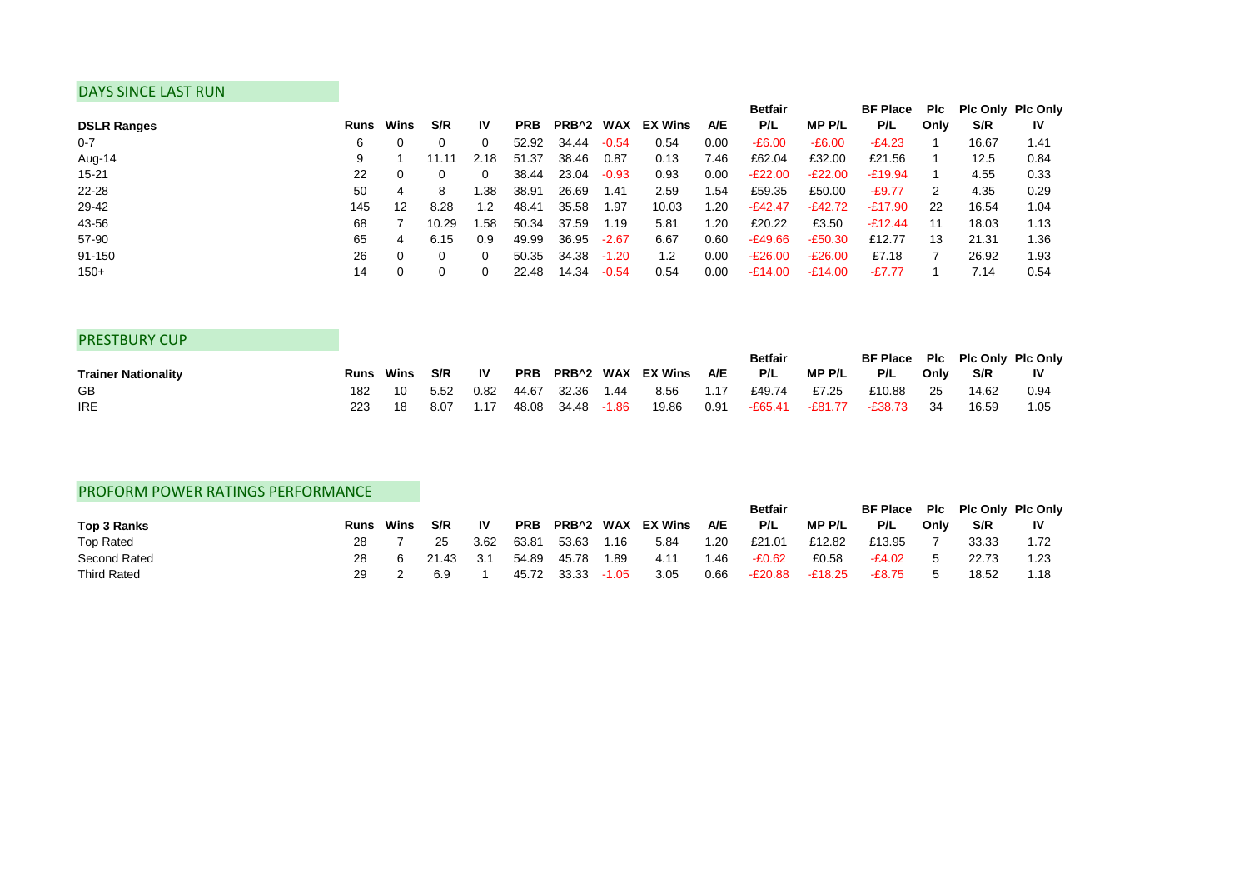### DAYS SINCE LAST RUN

|                    |      |      |       |           |            |                       |         |                |      | <b>Betfair</b> |               | <b>BF Place</b> | Plc  | <b>Pic Only Pic Only</b> |      |
|--------------------|------|------|-------|-----------|------------|-----------------------|---------|----------------|------|----------------|---------------|-----------------|------|--------------------------|------|
| <b>DSLR Ranges</b> | Runs | Wins | S/R   | <b>IV</b> | <b>PRB</b> | PRB <sup>^2</sup> WAX |         | <b>EX Wins</b> | A/E  | P/L            | <b>MP P/L</b> | P/L             | Only | S/R                      | IV   |
| $0 - 7$            | 6    | 0    |       |           | 52.92      | 34.44                 | $-0.54$ | 0.54           | 0.00 | $-E6.00$       | $-E6.00$      | $-E4.23$        |      | 16.67                    | 1.41 |
| Aug-14             | 9    |      | 11.11 | 2.18      | 51.37      | 38.46                 | 0.87    | 0.13           | 7.46 | £62.04         | £32.00        | £21.56          |      | 12.5                     | 0.84 |
| $15 - 21$          | 22   | 0    |       | 0         | 38.44      | 23.04                 | $-0.93$ | 0.93           | 0.00 | $-E22.00$      | $-E22.00$     | $-E19.94$       |      | 4.55                     | 0.33 |
| 22-28              | 50   | 4    | 8     | .38       | 38.91      | 26.69                 | 1.41    | 2.59           | 1.54 | £59.35         | £50.00        | $-E9.77$        |      | 4.35                     | 0.29 |
| 29-42              | 145  | 12   | 8.28  | 1.2       | 48.41      | 35.58                 | 1.97    | 10.03          | 1.20 | $-E42.47$      | $-E42.72$     | -£17.90         | 22   | 16.54                    | 1.04 |
| 43-56              | 68   |      | 10.29 | .58       | 50.34      | 37.59                 | 1.19    | 5.81           | 1.20 | £20.22         | £3.50         | $-E12.44$       | 11   | 18.03                    | 1.13 |
| 57-90              | 65   | 4    | 6.15  | 0.9       | 49.99      | 36.95                 | $-2.67$ | 6.67           | 0.60 | -£49.66        | $-E50.30$     | £12.77          | 13   | 21.31                    | 1.36 |
| 91-150             | 26   | 0    |       |           | 50.35      | 34.38                 | $-1.20$ | 1.2            | 0.00 | $-E26.00$      | $-E26.00$     | £7.18           |      | 26.92                    | 1.93 |
| $150+$             | 14   | 0    |       |           | 22.48      | 14.34                 | $-0.54$ | 0.54           | 0.00 | -£14.00        | $-£14.00$     | -£7.77          |      | 7.14                     | 0.54 |

| <b>PRESTBURY CUP</b>       |     |                  |      |           |             |       |                           |      |                |         |                                |      |       |           |
|----------------------------|-----|------------------|------|-----------|-------------|-------|---------------------------|------|----------------|---------|--------------------------------|------|-------|-----------|
|                            |     |                  |      |           |             |       |                           |      | <b>Betfair</b> |         | BF Place Plc Plc Only Plc Only |      |       |           |
| <b>Trainer Nationality</b> |     | <b>Runs</b> Wins | S/R  | <b>IV</b> |             |       | PRB PRB^2 WAX EX Wins A/E |      | P/L            | MP P/L  | P/L                            | Only | S/R   | <b>IV</b> |
| GB                         | 182 | 10               | 5.52 | 0.82      | 44.67 32.36 | 1.44  | 8.56                      | 1.17 | £49.74         | £7.25   | £10.88                         | -25  | 14.62 | 0.94      |
| <b>IRE</b>                 | 223 | 18               | 8.07 | 1.17      | 48.08 34.48 | -1.86 | 19.86                     | 0.91 | -£65.41        | -£81.77 | -£38.73                        | - 34 | 16.59 | 1.05      |

## PROFORM POWER RATINGS PERFORMANCE

|                    |      |      |       |       |            |                  |         |         |            | <b>Betfair</b> |           | BF Place Plc Plc Only Plc Only |      |       |      |
|--------------------|------|------|-------|-------|------------|------------------|---------|---------|------------|----------------|-----------|--------------------------------|------|-------|------|
| Top 3 Ranks        | Runs | Wins | S/R   | 1V    | <b>PRB</b> | <b>PRB^2 WAX</b> |         | EX Wins | <b>A/E</b> | P/L            | MP P/L    | P/L                            | Only | S/R   | IV   |
| <b>Top Rated</b>   | 28   |      | 25    | 3.62  | 63.81      | 53.63            | 1.16    | 5.84    | 1.20       | £21.01         | £12.82    | £13.95                         |      | 33.33 |      |
| Second Rated       |      |      | 21.43 | - 3.1 | 54.89      | 45.78            | 1.89    | 4.11    | 1.46       | $-E0.62$       | £0.58     | -£4.02                         |      | 22.73 | 1.23 |
| <b>Third Rated</b> | 29   |      | 6.9   |       | 45.72      | 33.33            | $-1.05$ | 3.05    | 0.66       | -£20.88        | $-£18.25$ | $-E8.75$                       |      | 18.52 | 1.18 |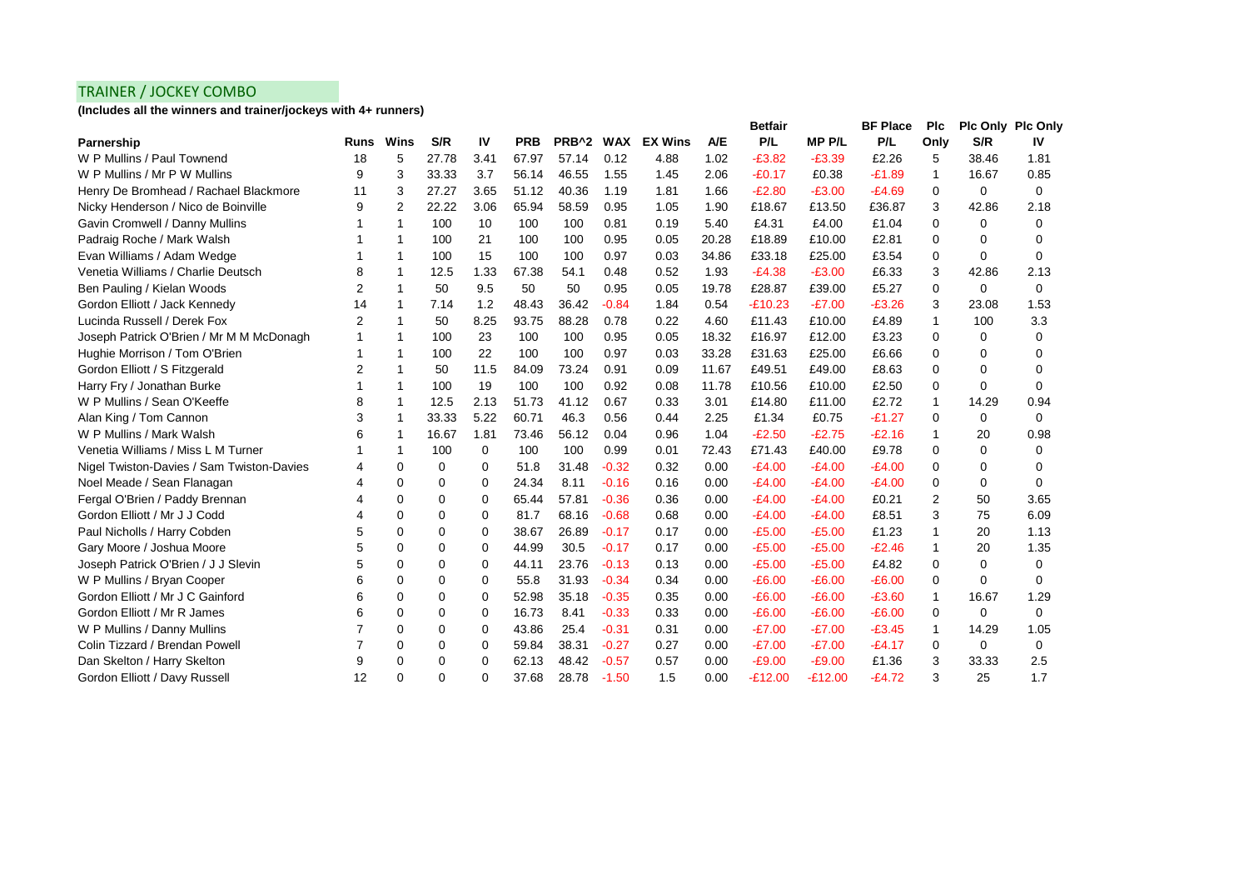## TRAINER / JOCKEY COMBO

**(Includes all the winners and trainer/jockeys with 4+ runners)**

|                                           |             |                |          |      |            |                   |            |                |            | <b>Betfair</b> |              | <b>BF Place</b> | <b>PIc</b> | <b>PIc Only PIc Only</b> |             |
|-------------------------------------------|-------------|----------------|----------|------|------------|-------------------|------------|----------------|------------|----------------|--------------|-----------------|------------|--------------------------|-------------|
| Parnership                                | <b>Runs</b> | Wins           | S/R      | IV   | <b>PRB</b> | PRB <sup>^2</sup> | <b>WAX</b> | <b>EX Wins</b> | <b>A/E</b> | P/L            | <b>MPP/L</b> | P/L             | Only       | S/R                      | IV          |
| W P Mullins / Paul Townend                | 18          | 5              | 27.78    | 3.41 | 67.97      | 57.14             | 0.12       | 4.88           | 1.02       | $-£3.82$       | $-E3.39$     | £2.26           | 5          | 38.46                    | 1.81        |
| W P Mullins / Mr P W Mullins              | 9           | 3              | 33.33    | 3.7  | 56.14      | 46.55             | 1.55       | 1.45           | 2.06       | $-E0.17$       | £0.38        | $-£1.89$        | 1          | 16.67                    | 0.85        |
| Henry De Bromhead / Rachael Blackmore     | 11          | 3              | 27.27    | 3.65 | 51.12      | 40.36             | 1.19       | 1.81           | 1.66       | $-E2.80$       | $-£3.00$     | $-£4.69$        | $\Omega$   | $\Omega$                 | $\Omega$    |
| Nicky Henderson / Nico de Boinville       | 9           | $\overline{2}$ | 22.22    | 3.06 | 65.94      | 58.59             | 0.95       | 1.05           | 1.90       | £18.67         | £13.50       | £36.87          | 3          | 42.86                    | 2.18        |
| Gavin Cromwell / Danny Mullins            |             | -1             | 100      | 10   | 100        | 100               | 0.81       | 0.19           | 5.40       | £4.31          | £4.00        | £1.04           | 0          | $\Omega$                 | 0           |
| Padraig Roche / Mark Walsh                |             | -1             | 100      | 21   | 100        | 100               | 0.95       | 0.05           | 20.28      | £18.89         | £10.00       | £2.81           | 0          | 0                        | 0           |
| Evan Williams / Adam Wedge                |             | -1             | 100      | 15   | 100        | 100               | 0.97       | 0.03           | 34.86      | £33.18         | £25.00       | £3.54           | 0          | $\Omega$                 | 0           |
| Venetia Williams / Charlie Deutsch        | 8           | -1             | 12.5     | 1.33 | 67.38      | 54.1              | 0.48       | 0.52           | 1.93       | $-E4.38$       | $-£3.00$     | £6.33           | 3          | 42.86                    | 2.13        |
| Ben Pauling / Kielan Woods                | 2           | $\mathbf{1}$   | 50       | 9.5  | 50         | 50                | 0.95       | 0.05           | 19.78      | £28.87         | £39.00       | £5.27           | 0          | 0                        | $\mathbf 0$ |
| Gordon Elliott / Jack Kennedy             | 14          | 1              | 7.14     | 1.2  | 48.43      | 36.42             | $-0.84$    | 1.84           | 0.54       | $-£10.23$      | $-E7.00$     | $-£3.26$        | 3          | 23.08                    | 1.53        |
| Lucinda Russell / Derek Fox               | 2           | -1             | 50       | 8.25 | 93.75      | 88.28             | 0.78       | 0.22           | 4.60       | £11.43         | £10.00       | £4.89           | 1          | 100                      | 3.3         |
| Joseph Patrick O'Brien / Mr M M McDonagh  |             | -1             | 100      | 23   | 100        | 100               | 0.95       | 0.05           | 18.32      | £16.97         | £12.00       | £3.23           | 0          | 0                        | 0           |
| Hughie Morrison / Tom O'Brien             |             | -1             | 100      | 22   | 100        | 100               | 0.97       | 0.03           | 33.28      | £31.63         | £25.00       | £6.66           | 0          | $\Omega$                 | 0           |
| Gordon Elliott / S Fitzgerald             | 2           | -1             | 50       | 11.5 | 84.09      | 73.24             | 0.91       | 0.09           | 11.67      | £49.51         | £49.00       | £8.63           | 0          | $\Omega$                 | 0           |
| Harry Fry / Jonathan Burke                |             | -1             | 100      | 19   | 100        | 100               | 0.92       | 0.08           | 11.78      | £10.56         | £10.00       | £2.50           | 0          | $\Omega$                 | $\Omega$    |
| W P Mullins / Sean O'Keeffe               | 8           | $\mathbf{1}$   | 12.5     | 2.13 | 51.73      | 41.12             | 0.67       | 0.33           | 3.01       | £14.80         | £11.00       | £2.72           | 1          | 14.29                    | 0.94        |
| Alan King / Tom Cannon                    | 3           | 1              | 33.33    | 5.22 | 60.71      | 46.3              | 0.56       | 0.44           | 2.25       | £1.34          | £0.75        | $-£1.27$        | 0          | 0                        | $\Omega$    |
| W P Mullins / Mark Walsh                  | 6           | -1             | 16.67    | 1.81 | 73.46      | 56.12             | 0.04       | 0.96           | 1.04       | $-E2.50$       | $-E2.75$     | $-E2.16$        | 1          | 20                       | 0.98        |
| Venetia Williams / Miss L M Turner        |             | -1             | 100      | 0    | 100        | 100               | 0.99       | 0.01           | 72.43      | £71.43         | £40.00       | £9.78           | 0          | 0                        | 0           |
| Nigel Twiston-Davies / Sam Twiston-Davies | 4           | $\mathbf 0$    | $\Omega$ | 0    | 51.8       | 31.48             | $-0.32$    | 0.32           | 0.00       | $-E4.00$       | $-E4.00$     | $-E4.00$        | 0          | $\Omega$                 | 0           |
| Noel Meade / Sean Flanagan                |             | $\mathbf 0$    | 0        | 0    | 24.34      | 8.11              | $-0.16$    | 0.16           | 0.00       | $-E4.00$       | $-E4.00$     | $-E4.00$        | 0          | $\Omega$                 | $\Omega$    |
| Fergal O'Brien / Paddy Brennan            |             | $\mathbf 0$    | 0        | 0    | 65.44      | 57.81             | $-0.36$    | 0.36           | 0.00       | $-E4.00$       | $-E4.00$     | £0.21           | 2          | 50                       | 3.65        |
| Gordon Elliott / Mr J J Codd              |             | $\Omega$       | $\Omega$ | 0    | 81.7       | 68.16             | $-0.68$    | 0.68           | 0.00       | $-E4.00$       | $-E4.00$     | £8.51           | 3          | 75                       | 6.09        |
| Paul Nicholls / Harry Cobden              | 5           | $\Omega$       | 0        | 0    | 38.67      | 26.89             | $-0.17$    | 0.17           | 0.00       | $-£5.00$       | $-£5.00$     | £1.23           | 1          | 20                       | 1.13        |
| Gary Moore / Joshua Moore                 |             | $\mathbf 0$    | 0        | 0    | 44.99      | 30.5              | $-0.17$    | 0.17           | 0.00       | $-£5.00$       | $-£5.00$     | $-E2.46$        | 1          | 20                       | 1.35        |
| Joseph Patrick O'Brien / J J Slevin       |             | $\mathbf 0$    | 0        | 0    | 44.11      | 23.76             | $-0.13$    | 0.13           | 0.00       | $-£5.00$       | $-£5.00$     | £4.82           | 0          | 0                        | $\Omega$    |
| W P Mullins / Bryan Cooper                | 6           | $\mathbf 0$    | 0        | 0    | 55.8       | 31.93             | $-0.34$    | 0.34           | 0.00       | $-E6.00$       | $-E6.00$     | $-£6.00$        | 0          | $\Omega$                 | 0           |
| Gordon Elliott / Mr J C Gainford          | 6           | $\mathbf 0$    | 0        | 0    | 52.98      | 35.18             | $-0.35$    | 0.35           | 0.00       | $-£6.00$       | $-£6.00$     | $-£3.60$        | 1          | 16.67                    | 1.29        |
| Gordon Elliott / Mr R James               | 6           | $\Omega$       | 0        | 0    | 16.73      | 8.41              | $-0.33$    | 0.33           | 0.00       | $-E6.00$       | $-£6.00$     | $-£6.00$        | 0          | $\Omega$                 | $\Omega$    |
| W P Mullins / Danny Mullins               |             | $\Omega$       | $\Omega$ | 0    | 43.86      | 25.4              | $-0.31$    | 0.31           | 0.00       | $-E7.00$       | $-E7.00$     | $-£3.45$        | 1          | 14.29                    | 1.05        |
| Colin Tizzard / Brendan Powell            |             | $\mathbf 0$    | 0        | 0    | 59.84      | 38.31             | $-0.27$    | 0.27           | 0.00       | $-E7.00$       | $-E7.00$     | $-E4.17$        | 0          | 0                        | 0           |
| Dan Skelton / Harry Skelton               | 9           | $\Omega$       | 0        | 0    | 62.13      | 48.42             | $-0.57$    | 0.57           | 0.00       | $-£9.00$       | $-£9.00$     | £1.36           | 3          | 33.33                    | 2.5         |
| Gordon Elliott / Davy Russell             | 12          | $\Omega$       | $\Omega$ | 0    | 37.68      | 28.78             | $-1.50$    | 1.5            | 0.00       | $-E12.00$      | $-E12.00$    | $-£4.72$        | 3          | 25                       | 1.7         |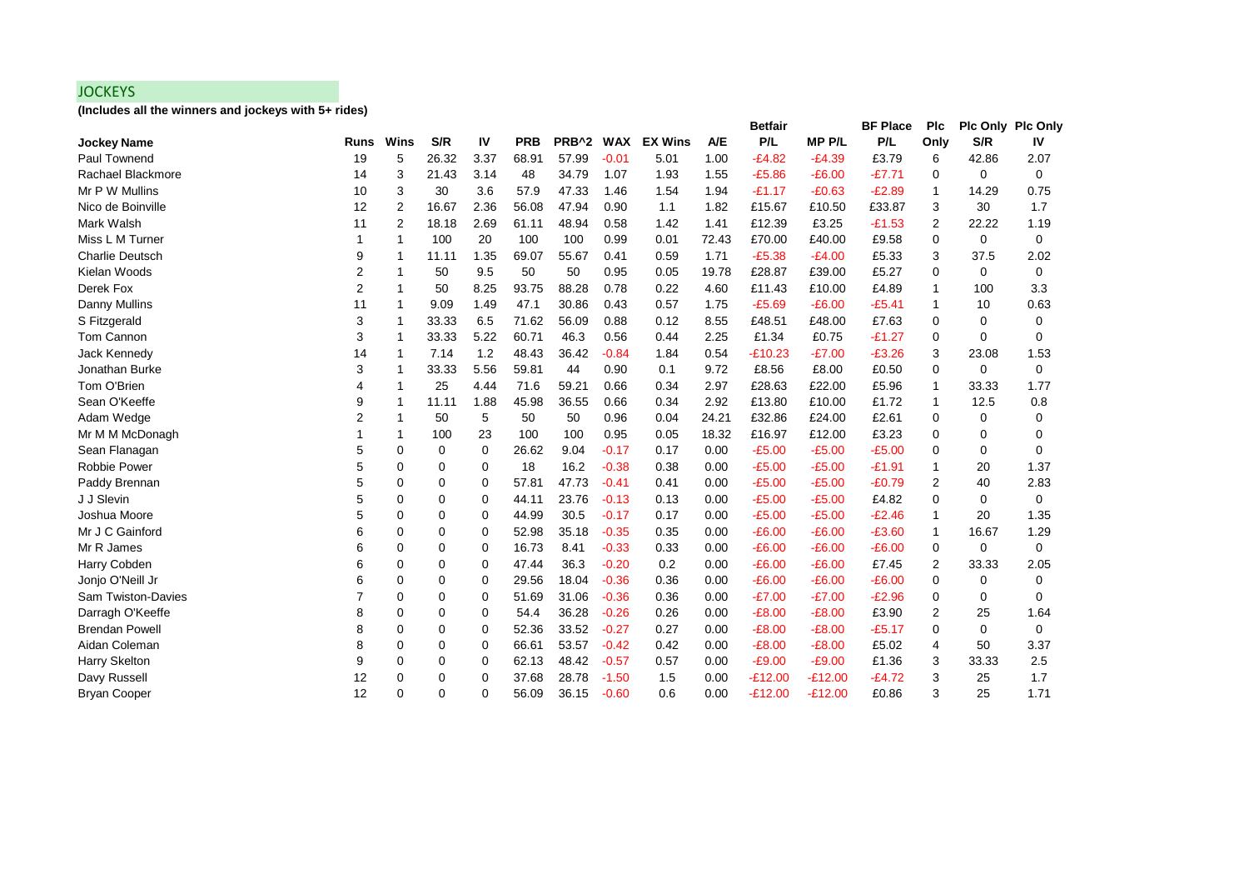## **JOCKEYS**

**(Includes all the winners and jockeys with 5+ rides)**

|                        |             |                |       |      |            |                   |            |                |            | <b>Betfair</b> |              | <b>BF Place</b> | Plc         | <b>Plc Only Plc Only</b> |             |
|------------------------|-------------|----------------|-------|------|------------|-------------------|------------|----------------|------------|----------------|--------------|-----------------|-------------|--------------------------|-------------|
| <b>Jockey Name</b>     | <b>Runs</b> | Wins           | S/R   | IV   | <b>PRB</b> | PRB <sup>^2</sup> | <b>WAX</b> | <b>EX Wins</b> | <b>A/E</b> | P/L            | <b>MPP/L</b> | P/L             | Only        | S/R                      | IV          |
| Paul Townend           | 19          | 5              | 26.32 | 3.37 | 68.91      | 57.99             | $-0.01$    | 5.01           | 1.00       | $-E4.82$       | $-E4.39$     | £3.79           | 6           | 42.86                    | 2.07        |
| Rachael Blackmore      | 14          | 3              | 21.43 | 3.14 | 48         | 34.79             | 1.07       | 1.93           | 1.55       | $-£5.86$       | $-E6.00$     | $-£7.71$        | $\mathbf 0$ | $\mathbf 0$              | $\mathbf 0$ |
| Mr P W Mullins         | 10          | 3              | 30    | 3.6  | 57.9       | 47.33             | 1.46       | 1.54           | 1.94       | $-E1.17$       | $-£0.63$     | $-E2.89$        | 1           | 14.29                    | 0.75        |
| Nico de Boinville      | 12          | $\overline{2}$ | 16.67 | 2.36 | 56.08      | 47.94             | 0.90       | 1.1            | 1.82       | £15.67         | £10.50       | £33.87          | 3           | 30                       | 1.7         |
| Mark Walsh             | 11          | $\overline{2}$ | 18.18 | 2.69 | 61.11      | 48.94             | 0.58       | 1.42           | 1.41       | £12.39         | £3.25        | $-£1.53$        | 2           | 22.22                    | 1.19        |
| Miss L M Turner        |             | -1             | 100   | 20   | 100        | 100               | 0.99       | 0.01           | 72.43      | £70.00         | £40.00       | £9.58           | 0           | 0                        | $\mathbf 0$ |
| <b>Charlie Deutsch</b> | 9           | 1              | 11.11 | 1.35 | 69.07      | 55.67             | 0.41       | 0.59           | 1.71       | $-E5.38$       | $-E4.00$     | £5.33           | 3           | 37.5                     | 2.02        |
| Kielan Woods           | 2           | -1             | 50    | 9.5  | 50         | 50                | 0.95       | 0.05           | 19.78      | £28.87         | £39.00       | £5.27           | 0           | 0                        | 0           |
| Derek Fox              | 2           | -1             | 50    | 8.25 | 93.75      | 88.28             | 0.78       | 0.22           | 4.60       | £11.43         | £10.00       | £4.89           | 1           | 100                      | 3.3         |
| Danny Mullins          | 11          | $\mathbf{1}$   | 9.09  | 1.49 | 47.1       | 30.86             | 0.43       | 0.57           | 1.75       | $-£5.69$       | $-E6.00$     | $-£5.41$        | 1           | 10                       | 0.63        |
| S Fitzgerald           | 3           | $\mathbf{1}$   | 33.33 | 6.5  | 71.62      | 56.09             | 0.88       | 0.12           | 8.55       | £48.51         | £48.00       | £7.63           | 0           | 0                        | 0           |
| Tom Cannon             | 3           | 1              | 33.33 | 5.22 | 60.71      | 46.3              | 0.56       | 0.44           | 2.25       | £1.34          | £0.75        | $-£1.27$        | 0           | $\Omega$                 | 0           |
| Jack Kennedy           | 14          | 1              | 7.14  | 1.2  | 48.43      | 36.42             | $-0.84$    | 1.84           | 0.54       | $-£10.23$      | $-E7.00$     | $-£3.26$        | 3           | 23.08                    | 1.53        |
| Jonathan Burke         | 3           | 1              | 33.33 | 5.56 | 59.81      | 44                | 0.90       | 0.1            | 9.72       | £8.56          | £8.00        | £0.50           | 0           | $\mathbf 0$              | $\mathbf 0$ |
| Tom O'Brien            | 4           | -1             | 25    | 4.44 | 71.6       | 59.21             | 0.66       | 0.34           | 2.97       | £28.63         | £22.00       | £5.96           | 1           | 33.33                    | 1.77        |
| Sean O'Keeffe          | 9           | 1              | 11.11 | 1.88 | 45.98      | 36.55             | 0.66       | 0.34           | 2.92       | £13.80         | £10.00       | £1.72           | 1           | 12.5                     | 0.8         |
| Adam Wedge             | 2           | 1              | 50    | 5    | 50         | 50                | 0.96       | 0.04           | 24.21      | £32.86         | £24.00       | £2.61           | 0           | 0                        | 0           |
| Mr M M McDonagh        |             | -1             | 100   | 23   | 100        | 100               | 0.95       | 0.05           | 18.32      | £16.97         | £12.00       | £3.23           | 0           | $\Omega$                 | 0           |
| Sean Flanagan          | 5           | $\mathbf 0$    | 0     | 0    | 26.62      | 9.04              | $-0.17$    | 0.17           | 0.00       | $-£5.00$       | $-£5.00$     | $-£5.00$        | 0           | 0                        | $\Omega$    |
| Robbie Power           | 5           | $\mathbf 0$    | 0     | 0    | 18         | 16.2              | $-0.38$    | 0.38           | 0.00       | $-£5.00$       | $-£5.00$     | $-E1.91$        | 1           | 20                       | 1.37        |
| Paddy Brennan          | 5           | $\Omega$       | 0     | 0    | 57.81      | 47.73             | $-0.41$    | 0.41           | 0.00       | $-£5.00$       | $-£5.00$     | $-£0.79$        | 2           | 40                       | 2.83        |
| J J Slevin             | 5           | $\Omega$       | 0     | 0    | 44.11      | 23.76             | $-0.13$    | 0.13           | 0.00       | $-£5.00$       | $-£5.00$     | £4.82           | 0           | 0                        | 0           |
| Joshua Moore           | 5           | $\mathbf 0$    | 0     | 0    | 44.99      | 30.5              | $-0.17$    | 0.17           | 0.00       | $-£5.00$       | $-£5.00$     | $-E2.46$        | 1           | 20                       | 1.35        |
| Mr J C Gainford        | 6           | $\mathbf 0$    | 0     | 0    | 52.98      | 35.18             | $-0.35$    | 0.35           | 0.00       | $-E6.00$       | $-E6.00$     | $-£3.60$        | 1           | 16.67                    | 1.29        |
| Mr R James             | 6           | $\mathbf 0$    | 0     | 0    | 16.73      | 8.41              | $-0.33$    | 0.33           | 0.00       | $-£6.00$       | $-E6.00$     | $-£6.00$        | 0           | $\mathbf 0$              | $\mathbf 0$ |
| Harry Cobden           | 6           | $\mathbf 0$    | 0     | 0    | 47.44      | 36.3              | $-0.20$    | 0.2            | 0.00       | $-E6.00$       | $-E6.00$     | £7.45           | 2           | 33.33                    | 2.05        |
| Jonjo O'Neill Jr       | 6           | $\mathbf 0$    | 0     | 0    | 29.56      | 18.04             | $-0.36$    | 0.36           | 0.00       | $-£6.00$       | $-E6.00$     | $-£6.00$        | 0           | 0                        | 0           |
| Sam Twiston-Davies     |             | $\mathbf 0$    | 0     | 0    | 51.69      | 31.06             | $-0.36$    | 0.36           | 0.00       | $-E7.00$       | $-E7.00$     | $-E2.96$        | 0           | 0                        | 0           |
| Darragh O'Keeffe       | 8           | $\Omega$       | 0     | 0    | 54.4       | 36.28             | $-0.26$    | 0.26           | 0.00       | $-E8.00$       | $-E8.00$     | £3.90           | 2           | 25                       | 1.64        |
| <b>Brendan Powell</b>  | 8           | $\mathbf 0$    | 0     | 0    | 52.36      | 33.52             | $-0.27$    | 0.27           | 0.00       | $-£8.00$       | $-E8.00$     | $-£5.17$        | 0           | $\mathbf 0$              | $\Omega$    |
| Aidan Coleman          | 8           | 0              | 0     | 0    | 66.61      | 53.57             | $-0.42$    | 0.42           | 0.00       | $-E8.00$       | $-E8.00$     | £5.02           | 4           | 50                       | 3.37        |
| Harry Skelton          | 9           | $\Omega$       | 0     | 0    | 62.13      | 48.42             | $-0.57$    | 0.57           | 0.00       | $-E9.00$       | $-£9.00$     | £1.36           | 3           | 33.33                    | 2.5         |
| Davy Russell           | 12          | $\mathbf 0$    | 0     | 0    | 37.68      | 28.78             | $-1.50$    | 1.5            | 0.00       | $-£12.00$      | $-£12.00$    | $-£4.72$        | 3           | 25                       | 1.7         |
| <b>Bryan Cooper</b>    | 12          | $\Omega$       | 0     | 0    | 56.09      | 36.15             | $-0.60$    | 0.6            | 0.00       | $-£12.00$      | $-£12.00$    | £0.86           | 3           | 25                       | 1.71        |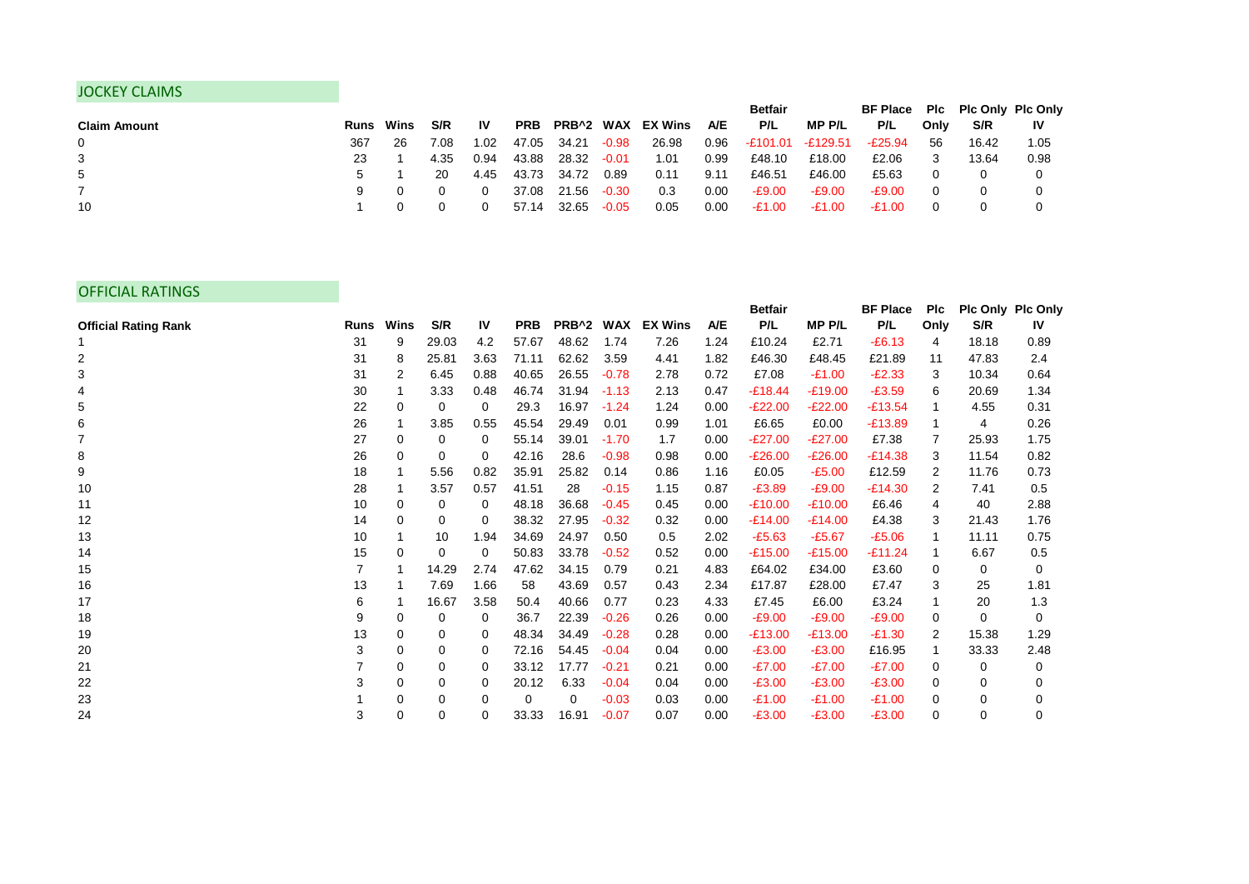## JOCKEY CLAIMS

|                     |                  |    |      |      |            |       |         |                   |      | <b>Betfair</b>    |          | BF Place Plc Plc Only Plc Only |      |       |           |
|---------------------|------------------|----|------|------|------------|-------|---------|-------------------|------|-------------------|----------|--------------------------------|------|-------|-----------|
| <b>Claim Amount</b> | <b>Runs</b> Wins |    | S/R  | 1V   | <b>PRB</b> |       |         | PRB^2 WAX EX Wins | A/E  | P/L               | MP P/L   | P/L                            | Only | S/R   | <b>IV</b> |
| 0                   | 367              | 26 | 7.08 | 1.02 | 47.05      | 34.21 | $-0.98$ | 26.98             | 0.96 | -£101.01 -£129.51 |          | $-E25.94$                      | 56   | 16.42 | 1.05      |
| 3                   | 23               |    | 4.35 | 0.94 | 43.88      | 28.32 | $-0.01$ | 1.01              | 0.99 | £48.10            | £18.00   | £2.06                          |      | 13.64 | 0.98      |
| 5                   |                  |    | 20   | 4.45 | 43.73      | 34.72 | 0.89    | 0.11              | 9.11 | £46.51            | £46.00   | £5.63                          |      |       |           |
|                     |                  |    |      |      | 37.08      | 21.56 | $-0.30$ | 0.3               | 0.00 | -£9.00            | $-E9.00$ | $-E9.00$                       |      |       |           |
| 10                  |                  |    |      |      | 57.14      | 32.65 | $-0.05$ | 0.05              | 0.00 | $-E1.00$          | $-E1.00$ | $-£1.00$                       |      |       |           |

## OFFICIAL RATINGS

|                             |             |      |       |           |            |           |         |                |      | Betfair   |              | <b>BF Place</b> | <b>PIc</b> | Plc Only Plc Only |           |
|-----------------------------|-------------|------|-------|-----------|------------|-----------|---------|----------------|------|-----------|--------------|-----------------|------------|-------------------|-----------|
| <b>Official Rating Rank</b> | <b>Runs</b> | Wins | S/R   | <b>IV</b> | <b>PRB</b> | PRB^2 WAX |         | <b>EX Wins</b> | A/E  | P/L       | <b>MPP/L</b> | P/L             | Only       | S/R               | <b>IV</b> |
|                             | 31          | 9    | 29.03 | 4.2       | 57.67      | 48.62     | 1.74    | 7.26           | 1.24 | £10.24    | £2.71        | $-E6.13$        | 4          | 18.18             | 0.89      |
| 2                           | 31          | 8    | 25.81 | 3.63      | 71.11      | 62.62     | 3.59    | 4.41           | 1.82 | £46.30    | £48.45       | £21.89          | 11         | 47.83             | 2.4       |
| 3                           | 31          | 2    | 6.45  | 0.88      | 40.65      | 26.55     | $-0.78$ | 2.78           | 0.72 | £7.08     | $-£1.00$     | $-E2.33$        | 3          | 10.34             | 0.64      |
|                             | 30          | 1    | 3.33  | 0.48      | 46.74      | 31.94     | $-1.13$ | 2.13           | 0.47 | $-£18.44$ | $-£19.00$    | $-£3.59$        | 6          | 20.69             | 1.34      |
| 5                           | 22          | 0    | 0     | 0         | 29.3       | 16.97     | $-1.24$ | 1.24           | 0.00 | $-E22.00$ | $-E22.00$    | $-£13.54$       |            | 4.55              | 0.31      |
| 6                           | 26          | 1    | 3.85  | 0.55      | 45.54      | 29.49     | 0.01    | 0.99           | 1.01 | £6.65     | £0.00        | $-£13.89$       |            | 4                 | 0.26      |
| $\overline{7}$              | 27          | 0    | 0     | 0         | 55.14      | 39.01     | $-1.70$ | 1.7            | 0.00 | $-E27.00$ | $-E27.00$    | £7.38           |            | 25.93             | 1.75      |
| 8                           | 26          | 0    | 0     | 0         | 42.16      | 28.6      | $-0.98$ | 0.98           | 0.00 | $-E26.00$ | $-E26.00$    | $-E14.38$       | 3          | 11.54             | 0.82      |
| 9                           | 18          | 1    | 5.56  | 0.82      | 35.91      | 25.82     | 0.14    | 0.86           | 1.16 | £0.05     | $-£5.00$     | £12.59          | 2          | 11.76             | 0.73      |
| 10                          | 28          | 1    | 3.57  | 0.57      | 41.51      | 28        | $-0.15$ | 1.15           | 0.87 | $-E3.89$  | $-£9.00$     | $-E14.30$       | 2          | 7.41              | 0.5       |
| 11                          | 10          | 0    | 0     | 0         | 48.18      | 36.68     | $-0.45$ | 0.45           | 0.00 | $-£10.00$ | $-£10.00$    | £6.46           | 4          | 40                | 2.88      |
| 12                          | 14          | 0    | 0     | 0         | 38.32      | 27.95     | $-0.32$ | 0.32           | 0.00 | $-E14.00$ | $-£14.00$    | £4.38           | 3          | 21.43             | 1.76      |
| 13                          | 10          |      | 10    | 1.94      | 34.69      | 24.97     | 0.50    | 0.5            | 2.02 | $-£5.63$  | $-£5.67$     | $-£5.06$        |            | 11.11             | 0.75      |
| 14                          | 15          | 0    | 0     | 0         | 50.83      | 33.78     | $-0.52$ | 0.52           | 0.00 | $-£15.00$ | $-£15.00$    | $-£11.24$       |            | 6.67              | 0.5       |
| 15                          |             | 1    | 14.29 | 2.74      | 47.62      | 34.15     | 0.79    | 0.21           | 4.83 | £64.02    | £34.00       | £3.60           | 0          | 0                 | 0         |
| 16                          | 13          |      | 7.69  | 1.66      | 58         | 43.69     | 0.57    | 0.43           | 2.34 | £17.87    | £28.00       | £7.47           | 3          | 25                | 1.81      |
| 17                          | 6           | 1    | 16.67 | 3.58      | 50.4       | 40.66     | 0.77    | 0.23           | 4.33 | £7.45     | £6.00        | £3.24           |            | 20                | 1.3       |
| 18                          | 9           | 0    | 0     | 0         | 36.7       | 22.39     | $-0.26$ | 0.26           | 0.00 | $-£9.00$  | $-£9.00$     | $-£9.00$        | 0          | $\Omega$          | $\Omega$  |
| 19                          | 13          | 0    | 0     | 0         | 48.34      | 34.49     | $-0.28$ | 0.28           | 0.00 | $-£13.00$ | $-£13.00$    | $-E1.30$        | 2          | 15.38             | 1.29      |
| 20                          | 3           | 0    | 0     | 0         | 72.16      | 54.45     | $-0.04$ | 0.04           | 0.00 | $-E3.00$  | $-£3.00$     | £16.95          |            | 33.33             | 2.48      |
| 21                          |             | 0    | 0     | 0         | 33.12      | 17.77     | $-0.21$ | 0.21           | 0.00 | $-E7.00$  | $-E7.00$     | $-E7.00$        | 0          | 0                 | 0         |
| 22                          | 3           | 0    | 0     | 0         | 20.12      | 6.33      | $-0.04$ | 0.04           | 0.00 | $-E3.00$  | $-£3.00$     | $-£3.00$        | 0          | 0                 | $\Omega$  |
| 23                          |             | 0    | 0     | 0         | 0          | 0         | $-0.03$ | 0.03           | 0.00 | $-£1.00$  | $-£1.00$     | $-£1.00$        | 0          | 0                 | 0         |
| 24                          | 3           | 0    | 0     | 0         | 33.33      | 16.91     | $-0.07$ | 0.07           | 0.00 | $-£3.00$  | $-£3.00$     | $-£3.00$        | 0          | $\mathbf 0$       | 0         |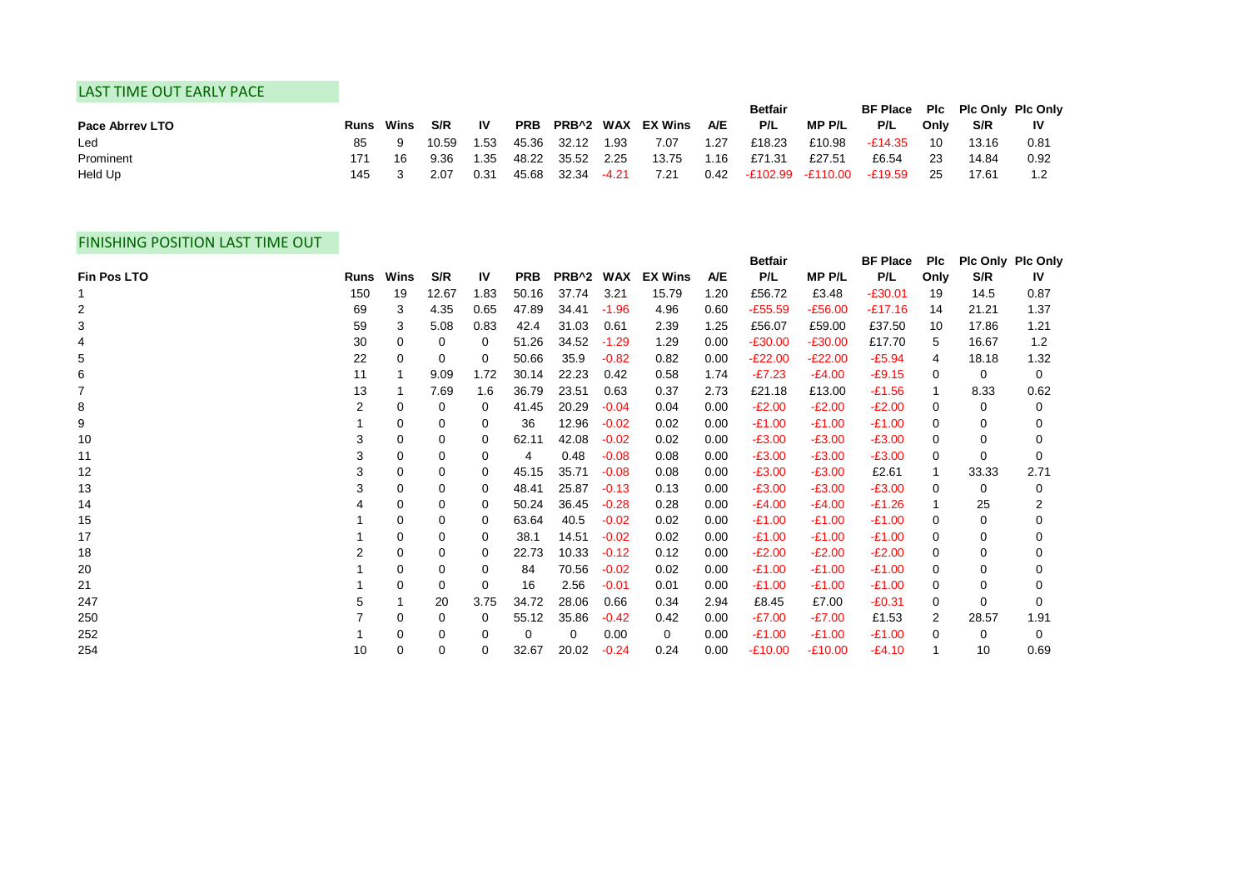## LAST TIME OUT EARLY PACE

|                        |      |      |       |      |            |             |         |                          |            | <b>Betfair</b> |                  | BF Place Plc Plc Only Plc Only |      |       |      |
|------------------------|------|------|-------|------|------------|-------------|---------|--------------------------|------------|----------------|------------------|--------------------------------|------|-------|------|
| <b>Pace Abrrey LTO</b> | Runs | Wins | S/R   | 1V   | <b>PRB</b> |             |         | <b>PRB^2 WAX EX Wins</b> | <b>A/E</b> | P/L            | MP P/L           | P/L                            | Only | S/R   | 1V   |
| Led                    | 85   |      | 10.59 | I.53 |            | 45.36 32.12 | 1.93    | 7.07                     | 1.27       | £18.23         | £10.98           | -£14.35                        | 10   | 13.16 | 0.81 |
| Prominent              | 171  | 16   | 9.36  | .35  | 48.22      | 35.52       | 2.25    | 13.75                    | 1.16       | £71.31         | £27.51           | £6.54                          | 23   | 14.84 | 0.92 |
| Held Up                | 145  |      | 2.07  | 0.31 | 45.68      | 32.34       | $-4.21$ | 7.21                     | 0.42       |                | E102.99 -£110.00 | -£19.59                        | 25   | 17.61 |      |

## FINISHING POSITION LAST TIME OUT

|             |             |      |       |      |            |           |         |                |            | <b>Betfair</b> |              | <b>BF Place</b> | <b>PIc</b> | Plc Only Plc Only |              |
|-------------|-------------|------|-------|------|------------|-----------|---------|----------------|------------|----------------|--------------|-----------------|------------|-------------------|--------------|
| Fin Pos LTO | <b>Runs</b> | Wins | S/R   | IV   | <b>PRB</b> | PRB^2 WAX |         | <b>EX Wins</b> | <b>A/E</b> | P/L            | <b>MPP/L</b> | P/L             | Only       | S/R               | <b>IV</b>    |
|             | 150         | 19   | 12.67 | 1.83 | 50.16      | 37.74     | 3.21    | 15.79          | 1.20       | £56.72         | £3.48        | $-£30.01$       | 19         | 14.5              | 0.87         |
| 2           | 69          | 3    | 4.35  | 0.65 | 47.89      | 34.41     | $-1.96$ | 4.96           | 0.60       | $-£55.59$      | $-£56.00$    | $-£17.16$       | 14         | 21.21             | 1.37         |
| 3           | 59          | 3    | 5.08  | 0.83 | 42.4       | 31.03     | 0.61    | 2.39           | 1.25       | £56.07         | £59.00       | £37.50          | 10         | 17.86             | 1.21         |
|             | 30          | 0    | 0     | 0    | 51.26      | 34.52     | $-1.29$ | 1.29           | 0.00       | $-£30.00$      | $-£30.00$    | £17.70          | 5          | 16.67             | 1.2          |
| 5           | 22          | 0    | 0     | 0    | 50.66      | 35.9      | $-0.82$ | 0.82           | 0.00       | $-E22.00$      | $-E22.00$    | $-£5.94$        | 4          | 18.18             | 1.32         |
| 6           | 11          |      | 9.09  | 1.72 | 30.14      | 22.23     | 0.42    | 0.58           | 1.74       | $-E7.23$       | $-E4.00$     | $-£9.15$        | 0          | 0                 | $\mathbf{0}$ |
|             | 13          |      | 7.69  | 1.6  | 36.79      | 23.51     | 0.63    | 0.37           | 2.73       | £21.18         | £13.00       | $-£1.56$        |            | 8.33              | 0.62         |
| 8           | 2           | 0    | 0     | 0    | 41.45      | 20.29     | $-0.04$ | 0.04           | 0.00       | $-E2.00$       | $-E2.00$     | $-E2.00$        | 0          | 0                 | 0            |
| 9           |             | 0    | 0     | 0    | 36         | 12.96     | $-0.02$ | 0.02           | 0.00       | $-£1.00$       | $-£1.00$     | $-£1.00$        | 0          | 0                 |              |
| 10          | 3           | 0    | 0     | 0    | 62.11      | 42.08     | $-0.02$ | 0.02           | 0.00       | $-£3.00$       | $-£3.00$     | $-£3.00$        | 0          | 0                 |              |
| 11          |             | 0    | 0     | 0    | 4          | 0.48      | $-0.08$ | 0.08           | 0.00       | $-£3.00$       | $-£3.00$     | $-£3.00$        | 0          | $\Omega$          | $\Omega$     |
| 12          | 3           | 0    | 0     | 0    | 45.15      | 35.71     | $-0.08$ | 0.08           | 0.00       | $-£3.00$       | $-£3.00$     | £2.61           |            | 33.33             | 2.71         |
| 13          |             | 0    | 0     | 0    | 48.41      | 25.87     | $-0.13$ | 0.13           | 0.00       | $-£3.00$       | $-£3.00$     | $-£3.00$        | 0          | 0                 | 0            |
| 14          |             | 0    | 0     | 0    | 50.24      | 36.45     | $-0.28$ | 0.28           | 0.00       | $-E4.00$       | $-E4.00$     | $-£1.26$        |            | 25                |              |
| 15          |             | 0    | 0     | 0    | 63.64      | 40.5      | $-0.02$ | 0.02           | 0.00       | $-£1.00$       | $-£1.00$     | $-£1.00$        | 0          | 0                 | 0            |
| 17          |             | 0    | 0     | 0    | 38.1       | 14.51     | $-0.02$ | 0.02           | 0.00       | $-£1.00$       | $-£1.00$     | $-£1.00$        | 0          | 0                 |              |
| 18          |             | 0    | 0     | 0    | 22.73      | 10.33     | $-0.12$ | 0.12           | 0.00       | $-E2.00$       | $-E2.00$     | $-E2.00$        | 0          | 0                 | 0            |
| 20          |             | 0    | 0     | 0    | 84         | 70.56     | $-0.02$ | 0.02           | 0.00       | $-£1.00$       | $-£1.00$     | $-£1.00$        | 0          | 0                 |              |
| 21          |             | 0    | 0     | 0    | 16         | 2.56      | $-0.01$ | 0.01           | 0.00       | $-£1.00$       | $-£1.00$     | $-£1.00$        | 0          | $\Omega$          | 0            |
| 247         |             |      | 20    | 3.75 | 34.72      | 28.06     | 0.66    | 0.34           | 2.94       | £8.45          | £7.00        | $-£0.31$        | 0          | $\Omega$          | 0            |
| 250         |             | 0    | 0     | 0    | 55.12      | 35.86     | $-0.42$ | 0.42           | 0.00       | $-£7.00$       | $-E7.00$     | £1.53           | 2          | 28.57             | 1.91         |
| 252         |             | 0    | 0     | 0    | 0          | 0         | 0.00    | $\mathbf{0}$   | 0.00       | $-£1.00$       | $-£1.00$     | $-£1.00$        | 0          | 0                 | $\Omega$     |
| 254         | 10          | 0    | 0     | 0    | 32.67      | 20.02     | $-0.24$ | 0.24           | 0.00       | $-£10.00$      | $-£10.00$    | $-E4.10$        |            | 10                | 0.69         |